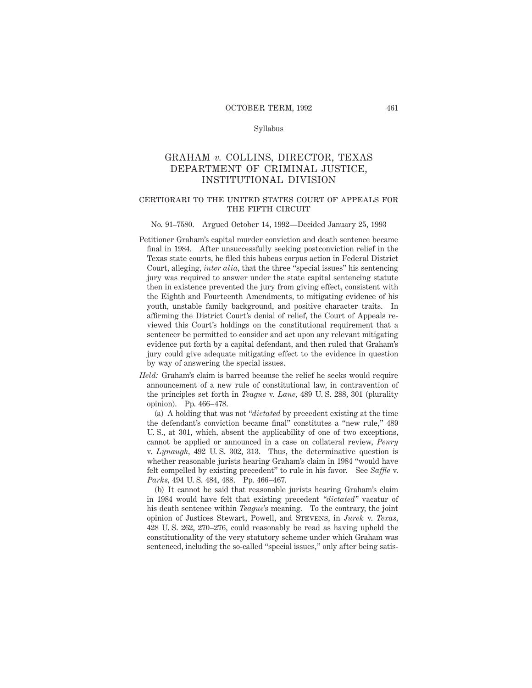#### Syllabus

# GRAHAM *v.* COLLINS, DIRECTOR, TEXAS DEPARTMENT OF CRIMINAL JUSTICE, INSTITUTIONAL DIVISION

# certiorari to the united states court of appeals for THE FIFTH CIRCUIT

#### No. 91–7580. Argued October 14, 1992—Decided January 25, 1993

- Petitioner Graham's capital murder conviction and death sentence became final in 1984. After unsuccessfully seeking postconviction relief in the Texas state courts, he filed this habeas corpus action in Federal District Court, alleging, *inter alia,* that the three "special issues" his sentencing jury was required to answer under the state capital sentencing statute then in existence prevented the jury from giving effect, consistent with the Eighth and Fourteenth Amendments, to mitigating evidence of his youth, unstable family background, and positive character traits. In affirming the District Court's denial of relief, the Court of Appeals reviewed this Court's holdings on the constitutional requirement that a sentencer be permitted to consider and act upon any relevant mitigating evidence put forth by a capital defendant, and then ruled that Graham's jury could give adequate mitigating effect to the evidence in question by way of answering the special issues.
- *Held:* Graham's claim is barred because the relief he seeks would require announcement of a new rule of constitutional law, in contravention of the principles set forth in *Teague* v. *Lane,* 489 U. S. 288, 301 (plurality opinion). Pp. 466–478.

(a) A holding that was not "*dictated* by precedent existing at the time the defendant's conviction became final" constitutes a "new rule," 489 U. S., at 301, which, absent the applicability of one of two exceptions, cannot be applied or announced in a case on collateral review, *Penry* v. *Lynaugh,* 492 U. S. 302, 313. Thus, the determinative question is whether reasonable jurists hearing Graham's claim in 1984 "would have felt compelled by existing precedent" to rule in his favor. See *Saffle* v. *Parks,* 494 U. S. 484, 488. Pp. 466–467.

(b) It cannot be said that reasonable jurists hearing Graham's claim in 1984 would have felt that existing precedent *"dictated"* vacatur of his death sentence within *Teague*'s meaning. To the contrary, the joint opinion of Justices Stewart, Powell, and Stevens, in *Jurek* v. *Texas,* 428 U. S. 262, 270–276, could reasonably be read as having upheld the constitutionality of the very statutory scheme under which Graham was sentenced, including the so-called "special issues," only after being satis-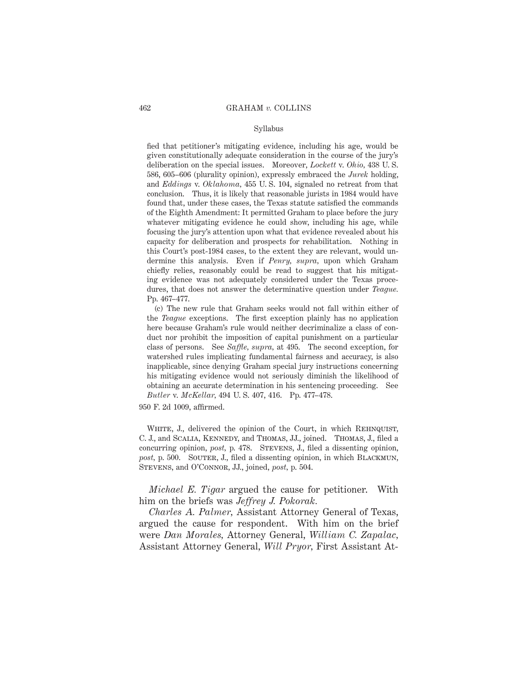#### Syllabus

fied that petitioner's mitigating evidence, including his age, would be given constitutionally adequate consideration in the course of the jury's deliberation on the special issues. Moreover, *Lockett* v. *Ohio,* 438 U. S. 586, 605–606 (plurality opinion), expressly embraced the *Jurek* holding, and *Eddings* v. *Oklahoma,* 455 U. S. 104, signaled no retreat from that conclusion. Thus, it is likely that reasonable jurists in 1984 would have found that, under these cases, the Texas statute satisfied the commands of the Eighth Amendment: It permitted Graham to place before the jury whatever mitigating evidence he could show, including his age, while focusing the jury's attention upon what that evidence revealed about his capacity for deliberation and prospects for rehabilitation. Nothing in this Court's post-1984 cases, to the extent they are relevant, would undermine this analysis. Even if *Penry, supra,* upon which Graham chiefly relies, reasonably could be read to suggest that his mitigating evidence was not adequately considered under the Texas procedures, that does not answer the determinative question under *Teague.* Pp. 467–477.

(c) The new rule that Graham seeks would not fall within either of the *Teague* exceptions. The first exception plainly has no application here because Graham's rule would neither decriminalize a class of conduct nor prohibit the imposition of capital punishment on a particular class of persons. See *Saffle, supra,* at 495. The second exception, for watershed rules implicating fundamental fairness and accuracy, is also inapplicable, since denying Graham special jury instructions concerning his mitigating evidence would not seriously diminish the likelihood of obtaining an accurate determination in his sentencing proceeding. See *Butler* v. *McKellar,* 494 U. S. 407, 416. Pp. 477–478.

950 F. 2d 1009, affirmed.

WHITE, J., delivered the opinion of the Court, in which REHNQUIST, C. J., and Scalia, Kennedy, and Thomas, JJ., joined. Thomas, J., filed a concurring opinion, *post*, p. 478. STEVENS, J., filed a dissenting opinion, post, p. 500. SOUTER, J., filed a dissenting opinion, in which BLACKMUN, Stevens, and O'Connor, JJ., joined, *post,* p. 504.

*Michael E. Tigar* argued the cause for petitioner. With him on the briefs was *Jeffrey J. Pokorak.*

*Charles A. Palmer,* Assistant Attorney General of Texas, argued the cause for respondent. With him on the brief were *Dan Morales,* Attorney General, *William C. Zapalac,* Assistant Attorney General, *Will Pryor,* First Assistant At-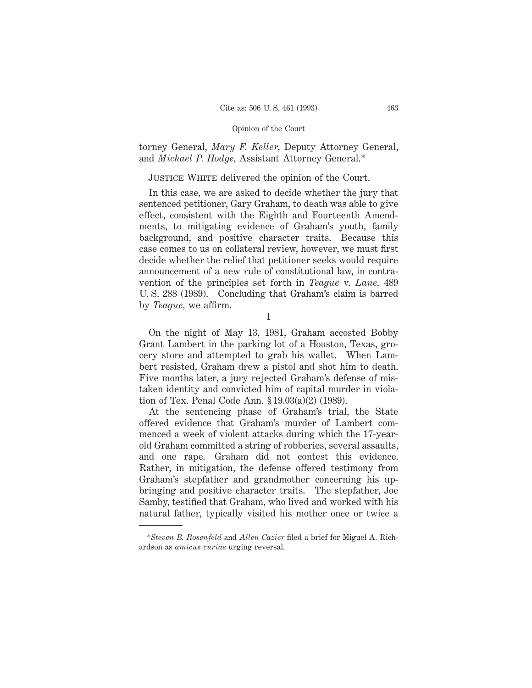torney General, *Mary F. Keller,* Deputy Attorney General, and *Michael P. Hodge,* Assistant Attorney General.\*

# JUSTICE WHITE delivered the opinion of the Court.

In this case, we are asked to decide whether the jury that sentenced petitioner, Gary Graham, to death was able to give effect, consistent with the Eighth and Fourteenth Amendments, to mitigating evidence of Graham's youth, family background, and positive character traits. Because this case comes to us on collateral review, however, we must first decide whether the relief that petitioner seeks would require announcement of a new rule of constitutional law, in contravention of the principles set forth in *Teague* v. *Lane,* 489 U. S. 288 (1989). Concluding that Graham's claim is barred by *Teague,* we affirm.

I

On the night of May 13, 1981, Graham accosted Bobby Grant Lambert in the parking lot of a Houston, Texas, grocery store and attempted to grab his wallet. When Lambert resisted, Graham drew a pistol and shot him to death. Five months later, a jury rejected Graham's defense of mistaken identity and convicted him of capital murder in violation of Tex. Penal Code Ann. § 19.03(a)(2) (1989).

At the sentencing phase of Graham's trial, the State offered evidence that Graham's murder of Lambert commenced a week of violent attacks during which the 17-yearold Graham committed a string of robberies, several assaults, and one rape. Graham did not contest this evidence. Rather, in mitigation, the defense offered testimony from Graham's stepfather and grandmother concerning his upbringing and positive character traits. The stepfather, Joe Samby, testified that Graham, who lived and worked with his natural father, typically visited his mother once or twice a

<sup>\*</sup>*Steven B. Rosenfeld* and *Allen Cazier* filed a brief for Miguel A. Richardson as *amicus curiae* urging reversal.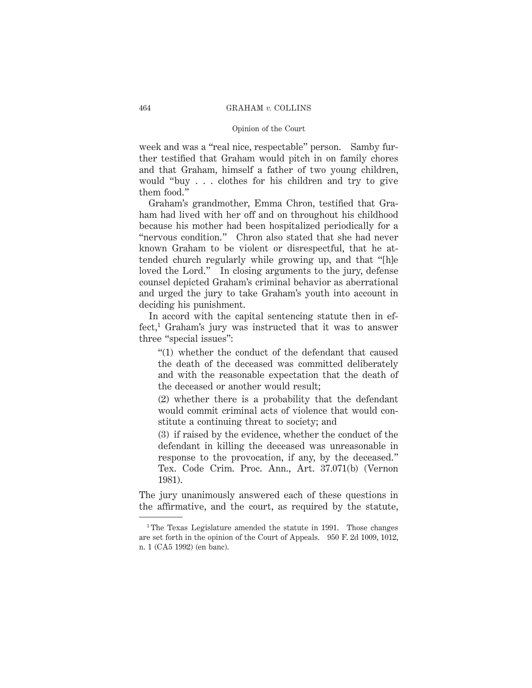week and was a "real nice, respectable" person. Samby further testified that Graham would pitch in on family chores and that Graham, himself a father of two young children, would "buy . . . clothes for his children and try to give them food."

Graham's grandmother, Emma Chron, testified that Graham had lived with her off and on throughout his childhood because his mother had been hospitalized periodically for a "nervous condition." Chron also stated that she had never known Graham to be violent or disrespectful, that he attended church regularly while growing up, and that "[h]e loved the Lord." In closing arguments to the jury, defense counsel depicted Graham's criminal behavior as aberrational and urged the jury to take Graham's youth into account in deciding his punishment.

In accord with the capital sentencing statute then in effect,1 Graham's jury was instructed that it was to answer three "special issues":

"(1) whether the conduct of the defendant that caused the death of the deceased was committed deliberately and with the reasonable expectation that the death of the deceased or another would result;

(2) whether there is a probability that the defendant would commit criminal acts of violence that would constitute a continuing threat to society; and

(3) if raised by the evidence, whether the conduct of the defendant in killing the deceased was unreasonable in response to the provocation, if any, by the deceased." Tex. Code Crim. Proc. Ann., Art. 37.071(b) (Vernon 1981).

The jury unanimously answered each of these questions in the affirmative, and the court, as required by the statute,

<sup>&</sup>lt;sup>1</sup> The Texas Legislature amended the statute in 1991. Those changes are set forth in the opinion of the Court of Appeals. 950 F. 2d 1009, 1012, n. 1 (CA5 1992) (en banc).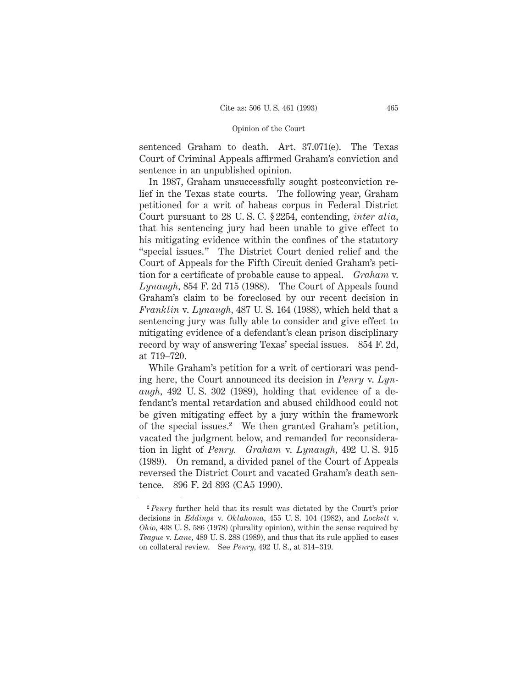sentenced Graham to death. Art. 37.071(e). The Texas Court of Criminal Appeals affirmed Graham's conviction and sentence in an unpublished opinion.

In 1987, Graham unsuccessfully sought postconviction relief in the Texas state courts. The following year, Graham petitioned for a writ of habeas corpus in Federal District Court pursuant to 28 U. S. C. § 2254, contending, *inter alia,* that his sentencing jury had been unable to give effect to his mitigating evidence within the confines of the statutory "special issues." The District Court denied relief and the Court of Appeals for the Fifth Circuit denied Graham's petition for a certificate of probable cause to appeal. *Graham* v. *Lynaugh,* 854 F. 2d 715 (1988). The Court of Appeals found Graham's claim to be foreclosed by our recent decision in *Franklin* v. *Lynaugh,* 487 U. S. 164 (1988), which held that a sentencing jury was fully able to consider and give effect to mitigating evidence of a defendant's clean prison disciplinary record by way of answering Texas' special issues. 854 F. 2d, at 719–720.

While Graham's petition for a writ of certiorari was pending here, the Court announced its decision in *Penry* v. *Lynaugh,* 492 U. S. 302 (1989), holding that evidence of a defendant's mental retardation and abused childhood could not be given mitigating effect by a jury within the framework of the special issues.2 We then granted Graham's petition, vacated the judgment below, and remanded for reconsideration in light of *Penry. Graham* v. *Lynaugh,* 492 U. S. 915 (1989). On remand, a divided panel of the Court of Appeals reversed the District Court and vacated Graham's death sentence. 896 F. 2d 893 (CA5 1990).

<sup>2</sup> *Penry* further held that its result was dictated by the Court's prior decisions in *Eddings* v. *Oklahoma,* 455 U. S. 104 (1982), and *Lockett* v. *Ohio,* 438 U. S. 586 (1978) (plurality opinion), within the sense required by *Teague* v. *Lane,* 489 U. S. 288 (1989), and thus that its rule applied to cases on collateral review. See *Penry,* 492 U. S., at 314–319.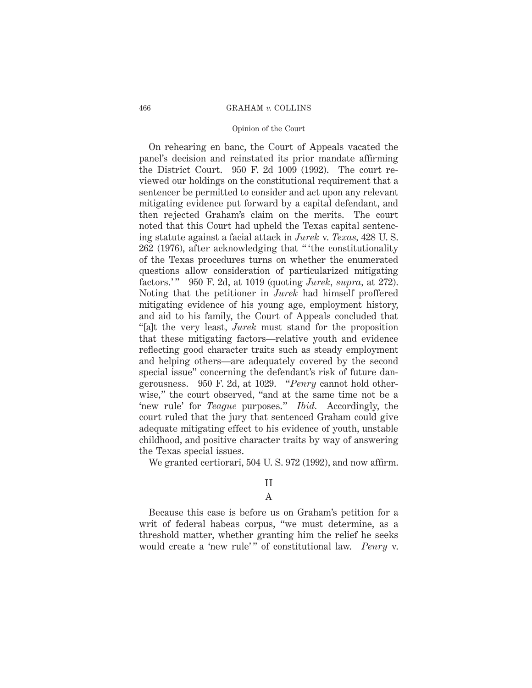#### Opinion of the Court

On rehearing en banc, the Court of Appeals vacated the panel's decision and reinstated its prior mandate affirming the District Court. 950 F. 2d 1009 (1992). The court reviewed our holdings on the constitutional requirement that a sentencer be permitted to consider and act upon any relevant mitigating evidence put forward by a capital defendant, and then rejected Graham's claim on the merits. The court noted that this Court had upheld the Texas capital sentencing statute against a facial attack in *Jurek* v. *Texas,* 428 U. S. 262 (1976), after acknowledging that " 'the constitutionality of the Texas procedures turns on whether the enumerated questions allow consideration of particularized mitigating factors.' " 950 F. 2d, at 1019 (quoting *Jurek, supra,* at 272). Noting that the petitioner in *Jurek* had himself proffered mitigating evidence of his young age, employment history, and aid to his family, the Court of Appeals concluded that "[a]t the very least, *Jurek* must stand for the proposition that these mitigating factors—relative youth and evidence reflecting good character traits such as steady employment and helping others—are adequately covered by the second special issue" concerning the defendant's risk of future dangerousness. 950 F. 2d, at 1029. "*Penry* cannot hold otherwise," the court observed, "and at the same time not be a 'new rule' for *Teague* purposes." *Ibid.* Accordingly, the court ruled that the jury that sentenced Graham could give adequate mitigating effect to his evidence of youth, unstable childhood, and positive character traits by way of answering the Texas special issues.

We granted certiorari, 504 U. S. 972 (1992), and now affirm.

### II

### A

Because this case is before us on Graham's petition for a writ of federal habeas corpus, "we must determine, as a threshold matter, whether granting him the relief he seeks would create a 'new rule'" of constitutional law. *Penry* v.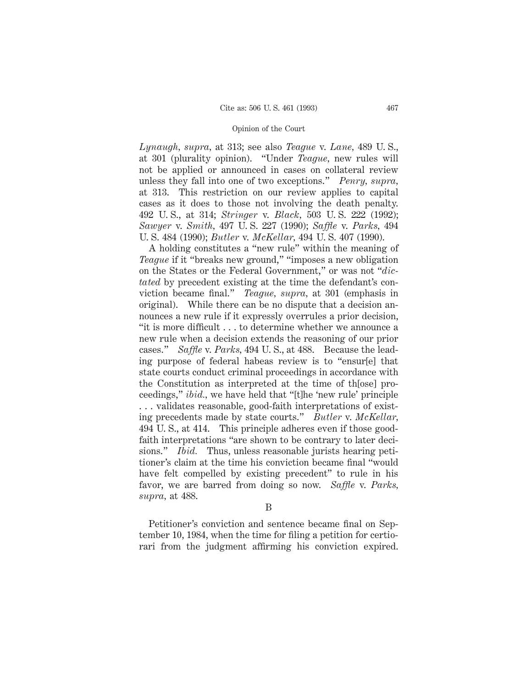*Lynaugh, supra,* at 313; see also *Teague* v. *Lane,* 489 U. S., at 301 (plurality opinion). "Under *Teague,* new rules will not be applied or announced in cases on collateral review unless they fall into one of two exceptions." *Penry, supra,* at 313. This restriction on our review applies to capital cases as it does to those not involving the death penalty. 492 U. S., at 314; *Stringer* v. *Black,* 503 U. S. 222 (1992); *Sawyer* v. *Smith,* 497 U. S. 227 (1990); *Saffle* v. *Parks,* 494 U. S. 484 (1990); *Butler* v. *McKellar,* 494 U. S. 407 (1990).

A holding constitutes a "new rule" within the meaning of *Teague* if it "breaks new ground," "imposes a new obligation on the States or the Federal Government," or was not "*dictated* by precedent existing at the time the defendant's conviction became final." *Teague, supra,* at 301 (emphasis in original). While there can be no dispute that a decision announces a new rule if it expressly overrules a prior decision, "it is more difficult . . . to determine whether we announce a new rule when a decision extends the reasoning of our prior cases." *Saffle* v. *Parks,* 494 U. S., at 488. Because the leading purpose of federal habeas review is to "ensur[e] that state courts conduct criminal proceedings in accordance with the Constitution as interpreted at the time of th[ose] proceedings," *ibid.,* we have held that "[t]he 'new rule' principle . . . validates reasonable, good-faith interpretations of existing precedents made by state courts." *Butler* v. *McKellar,* 494 U. S., at 414. This principle adheres even if those goodfaith interpretations "are shown to be contrary to later decisions." *Ibid.* Thus, unless reasonable jurists hearing petitioner's claim at the time his conviction became final "would have felt compelled by existing precedent" to rule in his favor, we are barred from doing so now. *Saffle* v. *Parks, supra,* at 488.

#### B

Petitioner's conviction and sentence became final on September 10, 1984, when the time for filing a petition for certiorari from the judgment affirming his conviction expired.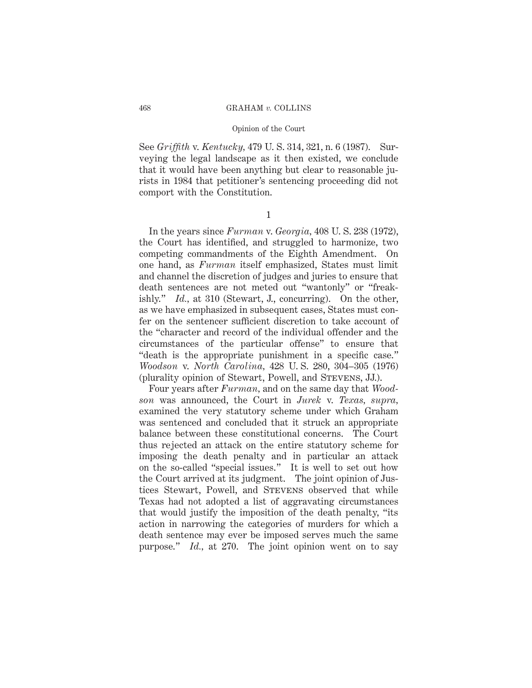#### Opinion of the Court

See *Griffith* v. *Kentucky,* 479 U. S. 314, 321, n. 6 (1987). Surveying the legal landscape as it then existed, we conclude that it would have been anything but clear to reasonable jurists in 1984 that petitioner's sentencing proceeding did not comport with the Constitution.

1

In the years since *Furman* v. *Georgia,* 408 U. S. 238 (1972), the Court has identified, and struggled to harmonize, two competing commandments of the Eighth Amendment. On one hand, as *Furman* itself emphasized, States must limit and channel the discretion of judges and juries to ensure that death sentences are not meted out "wantonly" or "freakishly." *Id.*, at 310 (Stewart, J., concurring). On the other, as we have emphasized in subsequent cases, States must confer on the sentencer sufficient discretion to take account of the "character and record of the individual offender and the circumstances of the particular offense" to ensure that "death is the appropriate punishment in a specific case." *Woodson* v. *North Carolina,* 428 U. S. 280, 304–305 (1976) (plurality opinion of Stewart, Powell, and Stevens, JJ.).

Four years after *Furman,* and on the same day that *Woodson* was announced, the Court in *Jurek* v. *Texas, supra,* examined the very statutory scheme under which Graham was sentenced and concluded that it struck an appropriate balance between these constitutional concerns. The Court thus rejected an attack on the entire statutory scheme for imposing the death penalty and in particular an attack on the so-called "special issues." It is well to set out how the Court arrived at its judgment. The joint opinion of Justices Stewart, Powell, and Stevens observed that while Texas had not adopted a list of aggravating circumstances that would justify the imposition of the death penalty, "its action in narrowing the categories of murders for which a death sentence may ever be imposed serves much the same purpose." *Id.,* at 270. The joint opinion went on to say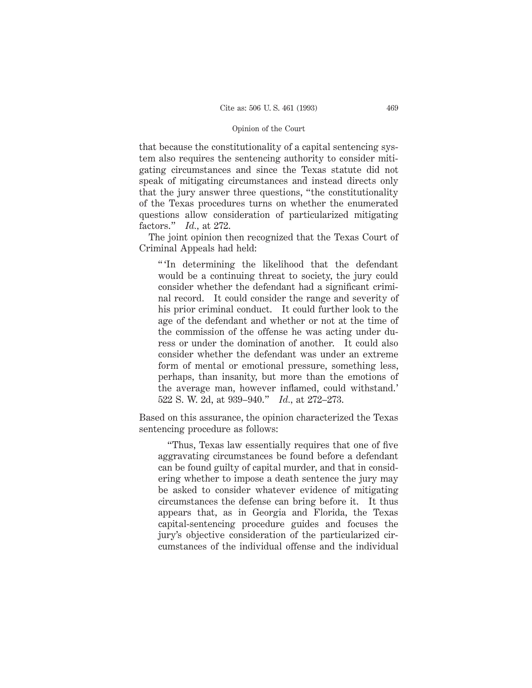that because the constitutionality of a capital sentencing system also requires the sentencing authority to consider mitigating circumstances and since the Texas statute did not speak of mitigating circumstances and instead directs only that the jury answer three questions, "the constitutionality of the Texas procedures turns on whether the enumerated questions allow consideration of particularized mitigating factors." *Id.,* at 272.

The joint opinion then recognized that the Texas Court of Criminal Appeals had held:

" 'In determining the likelihood that the defendant would be a continuing threat to society, the jury could consider whether the defendant had a significant criminal record. It could consider the range and severity of his prior criminal conduct. It could further look to the age of the defendant and whether or not at the time of the commission of the offense he was acting under duress or under the domination of another. It could also consider whether the defendant was under an extreme form of mental or emotional pressure, something less, perhaps, than insanity, but more than the emotions of the average man, however inflamed, could withstand.' 522 S. W. 2d, at 939–940." *Id.,* at 272–273.

Based on this assurance, the opinion characterized the Texas sentencing procedure as follows:

"Thus, Texas law essentially requires that one of five aggravating circumstances be found before a defendant can be found guilty of capital murder, and that in considering whether to impose a death sentence the jury may be asked to consider whatever evidence of mitigating circumstances the defense can bring before it. It thus appears that, as in Georgia and Florida, the Texas capital-sentencing procedure guides and focuses the jury's objective consideration of the particularized circumstances of the individual offense and the individual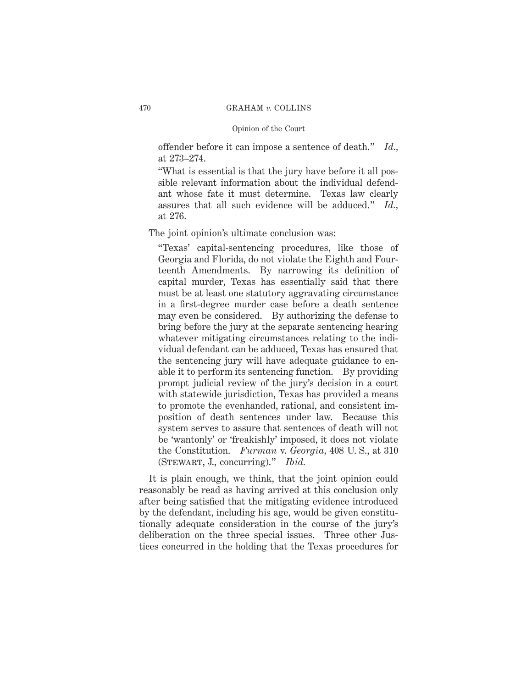offender before it can impose a sentence of death." *Id.,* at 273–274.

"What is essential is that the jury have before it all possible relevant information about the individual defendant whose fate it must determine. Texas law clearly assures that all such evidence will be adduced." *Id.,* at 276.

The joint opinion's ultimate conclusion was:

"Texas' capital-sentencing procedures, like those of Georgia and Florida, do not violate the Eighth and Fourteenth Amendments. By narrowing its definition of capital murder, Texas has essentially said that there must be at least one statutory aggravating circumstance in a first-degree murder case before a death sentence may even be considered. By authorizing the defense to bring before the jury at the separate sentencing hearing whatever mitigating circumstances relating to the individual defendant can be adduced, Texas has ensured that the sentencing jury will have adequate guidance to enable it to perform its sentencing function. By providing prompt judicial review of the jury's decision in a court with statewide jurisdiction, Texas has provided a means to promote the evenhanded, rational, and consistent imposition of death sentences under law. Because this system serves to assure that sentences of death will not be 'wantonly' or 'freakishly' imposed, it does not violate the Constitution. *Furman* v. *Georgia,* 408 U. S., at 310 (Stewart, J., concurring)." *Ibid.*

It is plain enough, we think, that the joint opinion could reasonably be read as having arrived at this conclusion only after being satisfied that the mitigating evidence introduced by the defendant, including his age, would be given constitutionally adequate consideration in the course of the jury's deliberation on the three special issues. Three other Justices concurred in the holding that the Texas procedures for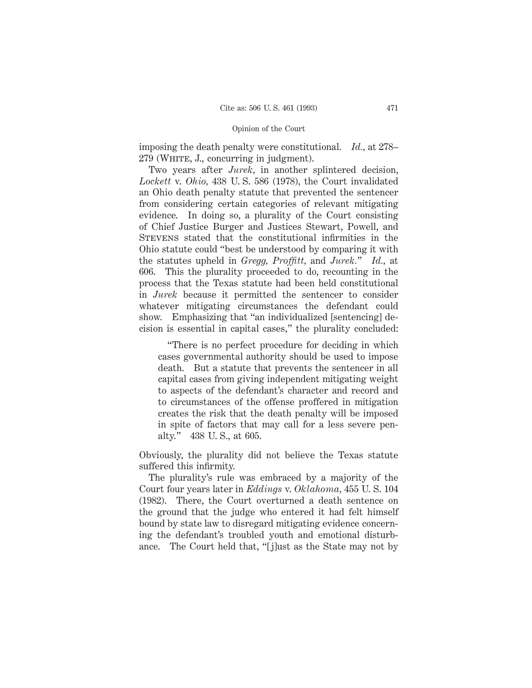imposing the death penalty were constitutional. *Id.,* at 278– 279 (WHITE, J., concurring in judgment).

Two years after *Jurek,* in another splintered decision, *Lockett* v. *Ohio,* 438 U. S. 586 (1978), the Court invalidated an Ohio death penalty statute that prevented the sentencer from considering certain categories of relevant mitigating evidence. In doing so, a plurality of the Court consisting of Chief Justice Burger and Justices Stewart, Powell, and Stevens stated that the constitutional infirmities in the Ohio statute could "best be understood by comparing it with the statutes upheld in *Gregg, Proffitt,* and *Jurek.*" *Id.,* at 606. This the plurality proceeded to do, recounting in the process that the Texas statute had been held constitutional in *Jurek* because it permitted the sentencer to consider whatever mitigating circumstances the defendant could show. Emphasizing that "an individualized [sentencing] decision is essential in capital cases," the plurality concluded:

"There is no perfect procedure for deciding in which cases governmental authority should be used to impose death. But a statute that prevents the sentencer in all capital cases from giving independent mitigating weight to aspects of the defendant's character and record and to circumstances of the offense proffered in mitigation creates the risk that the death penalty will be imposed in spite of factors that may call for a less severe penalty." 438 U. S., at 605.

Obviously, the plurality did not believe the Texas statute suffered this infirmity.

The plurality's rule was embraced by a majority of the Court four years later in *Eddings* v. *Oklahoma,* 455 U. S. 104 (1982). There, the Court overturned a death sentence on the ground that the judge who entered it had felt himself bound by state law to disregard mitigating evidence concerning the defendant's troubled youth and emotional disturbance. The Court held that, "[j]ust as the State may not by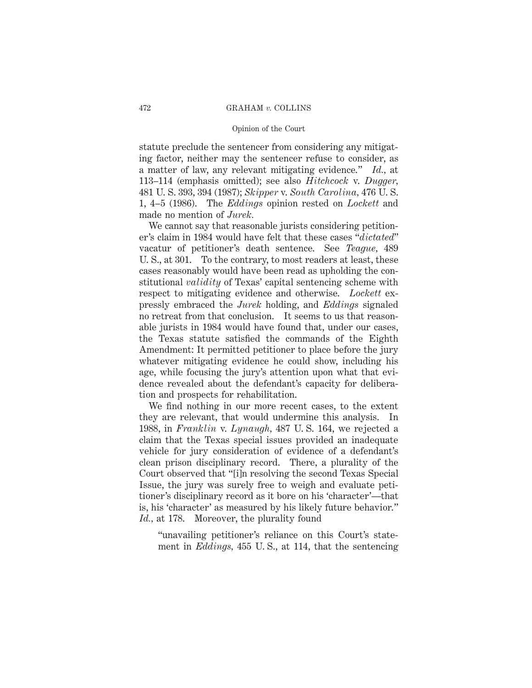#### Opinion of the Court

statute preclude the sentencer from considering any mitigating factor, neither may the sentencer refuse to consider, as a matter of law, any relevant mitigating evidence." *Id.,* at 113–114 (emphasis omitted); see also *Hitchcock* v. *Dugger,* 481 U. S. 393, 394 (1987); *Skipper* v. *South Carolina,* 476 U. S. 1, 4–5 (1986). The *Eddings* opinion rested on *Lockett* and made no mention of *Jurek.*

We cannot say that reasonable jurists considering petitioner's claim in 1984 would have felt that these cases "*dictated*" vacatur of petitioner's death sentence. See *Teague,* 489 U. S., at 301. To the contrary, to most readers at least, these cases reasonably would have been read as upholding the constitutional *validity* of Texas' capital sentencing scheme with respect to mitigating evidence and otherwise. *Lockett* expressly embraced the *Jurek* holding, and *Eddings* signaled no retreat from that conclusion. It seems to us that reasonable jurists in 1984 would have found that, under our cases, the Texas statute satisfied the commands of the Eighth Amendment: It permitted petitioner to place before the jury whatever mitigating evidence he could show, including his age, while focusing the jury's attention upon what that evidence revealed about the defendant's capacity for deliberation and prospects for rehabilitation.

We find nothing in our more recent cases, to the extent they are relevant, that would undermine this analysis. In 1988, in *Franklin* v. *Lynaugh,* 487 U. S. 164, we rejected a claim that the Texas special issues provided an inadequate vehicle for jury consideration of evidence of a defendant's clean prison disciplinary record. There, a plurality of the Court observed that "[i]n resolving the second Texas Special Issue, the jury was surely free to weigh and evaluate petitioner's disciplinary record as it bore on his 'character'—that is, his 'character' as measured by his likely future behavior." *Id.,* at 178. Moreover, the plurality found

"unavailing petitioner's reliance on this Court's statement in *Eddings,* 455 U. S., at 114, that the sentencing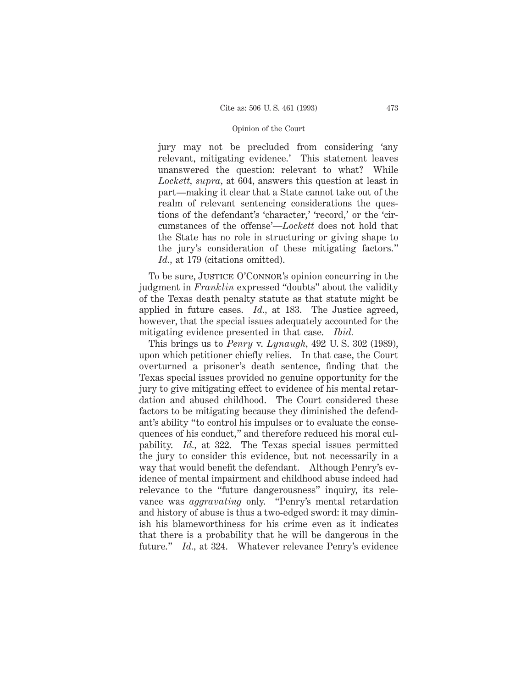jury may not be precluded from considering 'any relevant, mitigating evidence.' This statement leaves unanswered the question: relevant to what? While *Lockett, supra,* at 604, answers this question at least in part—making it clear that a State cannot take out of the realm of relevant sentencing considerations the questions of the defendant's 'character,' 'record,' or the 'circumstances of the offense'—*Lockett* does not hold that the State has no role in structuring or giving shape to the jury's consideration of these mitigating factors." *Id.,* at 179 (citations omitted).

To be sure, JUSTICE O'CONNOR's opinion concurring in the judgment in *Franklin* expressed "doubts" about the validity of the Texas death penalty statute as that statute might be applied in future cases. *Id.,* at 183. The Justice agreed, however, that the special issues adequately accounted for the mitigating evidence presented in that case. *Ibid.*

This brings us to *Penry* v. *Lynaugh,* 492 U. S. 302 (1989), upon which petitioner chiefly relies. In that case, the Court overturned a prisoner's death sentence, finding that the Texas special issues provided no genuine opportunity for the jury to give mitigating effect to evidence of his mental retardation and abused childhood. The Court considered these factors to be mitigating because they diminished the defendant's ability "to control his impulses or to evaluate the consequences of his conduct," and therefore reduced his moral culpability. *Id.,* at 322. The Texas special issues permitted the jury to consider this evidence, but not necessarily in a way that would benefit the defendant. Although Penry's evidence of mental impairment and childhood abuse indeed had relevance to the "future dangerousness" inquiry, its relevance was *aggravating* only. "Penry's mental retardation and history of abuse is thus a two-edged sword: it may diminish his blameworthiness for his crime even as it indicates that there is a probability that he will be dangerous in the future." *Id.,* at 324. Whatever relevance Penry's evidence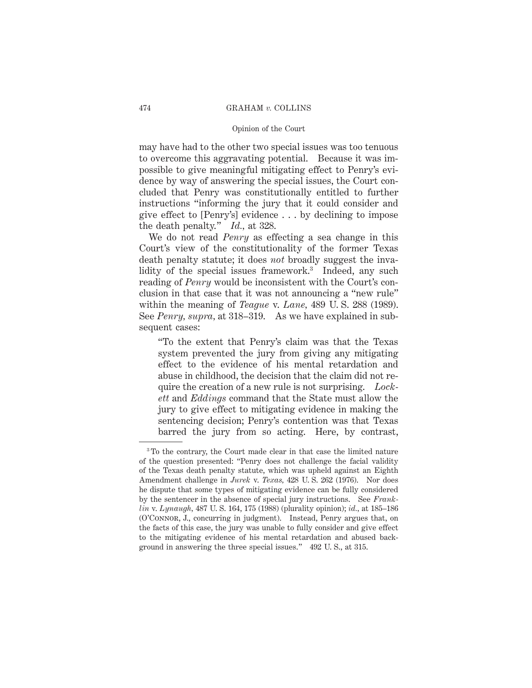### Opinion of the Court

may have had to the other two special issues was too tenuous to overcome this aggravating potential. Because it was impossible to give meaningful mitigating effect to Penry's evidence by way of answering the special issues, the Court concluded that Penry was constitutionally entitled to further instructions "informing the jury that it could consider and give effect to [Penry's] evidence . . . by declining to impose the death penalty." *Id.,* at 328.

We do not read *Penry* as effecting a sea change in this Court's view of the constitutionality of the former Texas death penalty statute; it does *not* broadly suggest the invalidity of the special issues framework.<sup>3</sup> Indeed, any such reading of *Penry* would be inconsistent with the Court's conclusion in that case that it was not announcing a "new rule" within the meaning of *Teague* v. *Lane,* 489 U. S. 288 (1989). See *Penry, supra,* at 318–319. As we have explained in subsequent cases:

"To the extent that Penry's claim was that the Texas system prevented the jury from giving any mitigating effect to the evidence of his mental retardation and abuse in childhood, the decision that the claim did not require the creation of a new rule is not surprising. *Lockett* and *Eddings* command that the State must allow the jury to give effect to mitigating evidence in making the sentencing decision; Penry's contention was that Texas barred the jury from so acting. Here, by contrast,

<sup>3</sup> To the contrary, the Court made clear in that case the limited nature of the question presented: "Penry does not challenge the facial validity of the Texas death penalty statute, which was upheld against an Eighth Amendment challenge in *Jurek* v. *Texas,* 428 U. S. 262 (1976). Nor does he dispute that some types of mitigating evidence can be fully considered by the sentencer in the absence of special jury instructions. See *Franklin* v. *Lynaugh,* 487 U. S. 164, 175 (1988) (plurality opinion); *id.,* at 185–186 (O'Connor, J., concurring in judgment). Instead, Penry argues that, on the facts of this case, the jury was unable to fully consider and give effect to the mitigating evidence of his mental retardation and abused background in answering the three special issues." 492 U. S., at 315.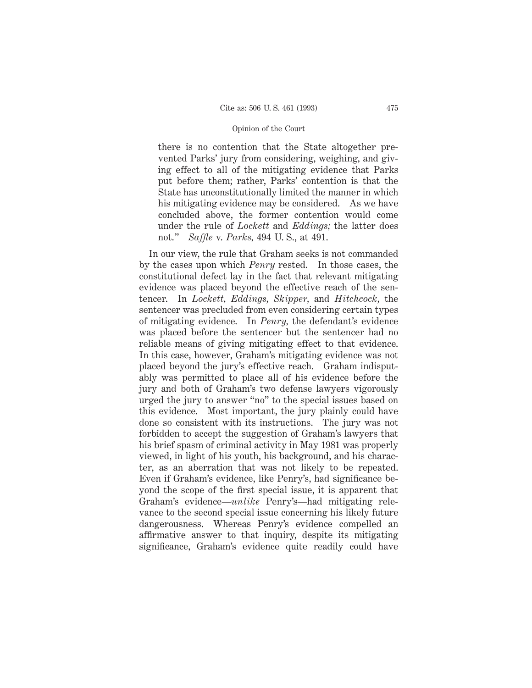there is no contention that the State altogether prevented Parks' jury from considering, weighing, and giving effect to all of the mitigating evidence that Parks put before them; rather, Parks' contention is that the State has unconstitutionally limited the manner in which his mitigating evidence may be considered. As we have concluded above, the former contention would come under the rule of *Lockett* and *Eddings;* the latter does not." *Saffle* v. *Parks,* 494 U. S., at 491.

In our view, the rule that Graham seeks is not commanded by the cases upon which *Penry* rested. In those cases, the constitutional defect lay in the fact that relevant mitigating evidence was placed beyond the effective reach of the sentencer. In *Lockett, Eddings, Skipper,* and *Hitchcock,* the sentencer was precluded from even considering certain types of mitigating evidence. In *Penry,* the defendant's evidence was placed before the sentencer but the sentencer had no reliable means of giving mitigating effect to that evidence. In this case, however, Graham's mitigating evidence was not placed beyond the jury's effective reach. Graham indisputably was permitted to place all of his evidence before the jury and both of Graham's two defense lawyers vigorously urged the jury to answer "no" to the special issues based on this evidence. Most important, the jury plainly could have done so consistent with its instructions. The jury was not forbidden to accept the suggestion of Graham's lawyers that his brief spasm of criminal activity in May 1981 was properly viewed, in light of his youth, his background, and his character, as an aberration that was not likely to be repeated. Even if Graham's evidence, like Penry's, had significance beyond the scope of the first special issue, it is apparent that Graham's evidence—*unlike* Penry's—had mitigating relevance to the second special issue concerning his likely future dangerousness. Whereas Penry's evidence compelled an affirmative answer to that inquiry, despite its mitigating significance, Graham's evidence quite readily could have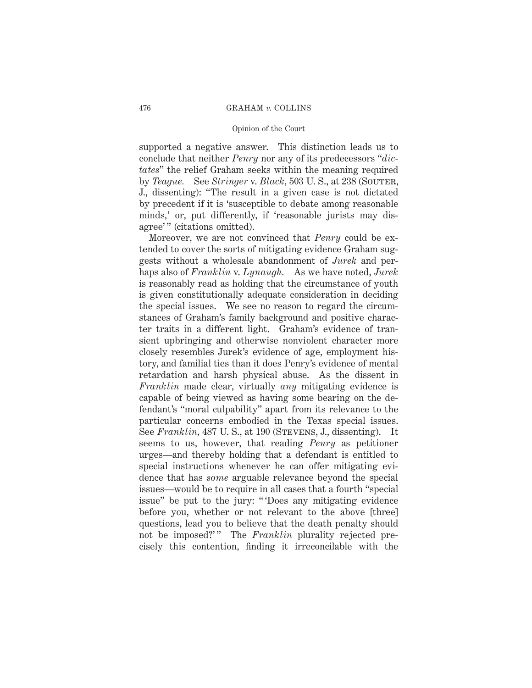#### Opinion of the Court

supported a negative answer. This distinction leads us to conclude that neither *Penry* nor any of its predecessors "*dictates*" the relief Graham seeks within the meaning required by *Teague.* See *Stringer* v. *Black,* 503 U. S., at 238 (Souter, J., dissenting): "The result in a given case is not dictated by precedent if it is 'susceptible to debate among reasonable minds,' or, put differently, if 'reasonable jurists may disagree'" (citations omitted).

Moreover, we are not convinced that *Penry* could be extended to cover the sorts of mitigating evidence Graham suggests without a wholesale abandonment of *Jurek* and perhaps also of *Franklin* v. *Lynaugh.* As we have noted, *Jurek* is reasonably read as holding that the circumstance of youth is given constitutionally adequate consideration in deciding the special issues. We see no reason to regard the circumstances of Graham's family background and positive character traits in a different light. Graham's evidence of transient upbringing and otherwise nonviolent character more closely resembles Jurek's evidence of age, employment history, and familial ties than it does Penry's evidence of mental retardation and harsh physical abuse. As the dissent in *Franklin* made clear, virtually *any* mitigating evidence is capable of being viewed as having some bearing on the defendant's "moral culpability" apart from its relevance to the particular concerns embodied in the Texas special issues. See *Franklin*, 487 U.S., at 190 (STEVENS, J., dissenting). It seems to us, however, that reading *Penry* as petitioner urges—and thereby holding that a defendant is entitled to special instructions whenever he can offer mitigating evidence that has *some* arguable relevance beyond the special issues—would be to require in all cases that a fourth "special issue" be put to the jury: " 'Does any mitigating evidence before you, whether or not relevant to the above [three] questions, lead you to believe that the death penalty should not be imposed?'" The *Franklin* plurality rejected precisely this contention, finding it irreconcilable with the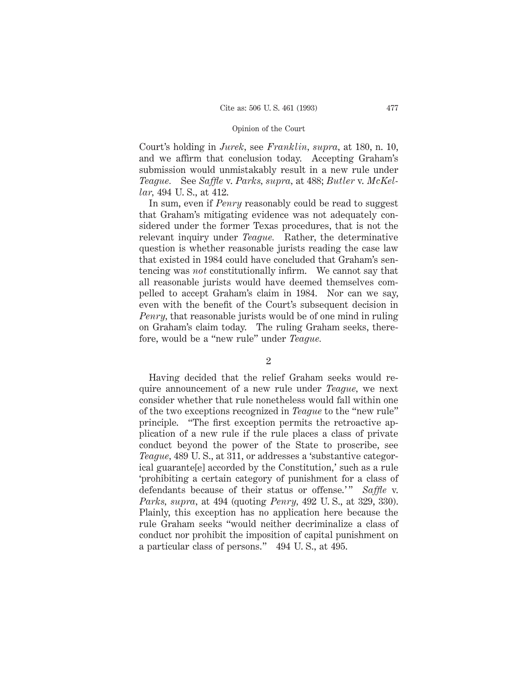Court's holding in *Jurek,* see *Franklin, supra,* at 180, n. 10, and we affirm that conclusion today. Accepting Graham's submission would unmistakably result in a new rule under *Teague.* See *Saffle* v. *Parks, supra,* at 488; *Butler* v. *McKellar,* 494 U. S., at 412.

In sum, even if *Penry* reasonably could be read to suggest that Graham's mitigating evidence was not adequately considered under the former Texas procedures, that is not the relevant inquiry under *Teague.* Rather, the determinative question is whether reasonable jurists reading the case law that existed in 1984 could have concluded that Graham's sentencing was *not* constitutionally infirm. We cannot say that all reasonable jurists would have deemed themselves compelled to accept Graham's claim in 1984. Nor can we say, even with the benefit of the Court's subsequent decision in *Penry,* that reasonable jurists would be of one mind in ruling on Graham's claim today. The ruling Graham seeks, therefore, would be a "new rule" under *Teague.*

#### 2

Having decided that the relief Graham seeks would require announcement of a new rule under *Teague,* we next consider whether that rule nonetheless would fall within one of the two exceptions recognized in *Teague* to the "new rule" principle. "The first exception permits the retroactive application of a new rule if the rule places a class of private conduct beyond the power of the State to proscribe, see *Teague,* 489 U. S., at 311, or addresses a 'substantive categorical guarante[e] accorded by the Constitution,' such as a rule 'prohibiting a certain category of punishment for a class of defendants because of their status or offense.'" *Saffle* v. *Parks, supra,* at 494 (quoting *Penry,* 492 U. S., at 329, 330). Plainly, this exception has no application here because the rule Graham seeks "would neither decriminalize a class of conduct nor prohibit the imposition of capital punishment on a particular class of persons." 494 U. S., at 495.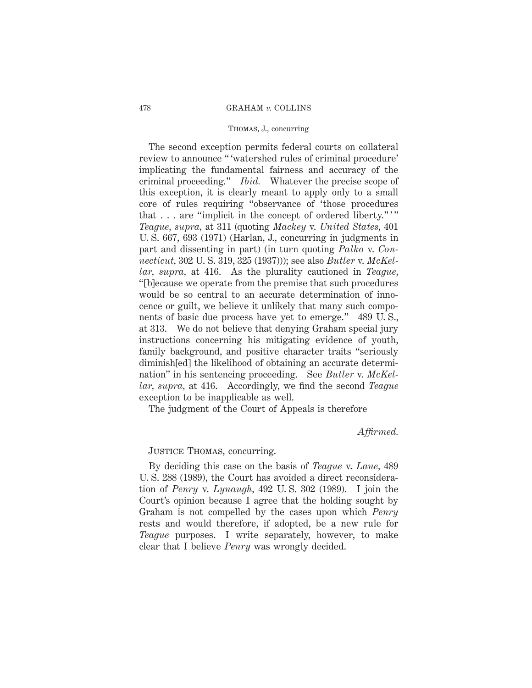## Thomas, J., concurring

The second exception permits federal courts on collateral review to announce " 'watershed rules of criminal procedure' implicating the fundamental fairness and accuracy of the criminal proceeding." *Ibid.* Whatever the precise scope of this exception, it is clearly meant to apply only to a small core of rules requiring "observance of 'those procedures that . . . are "implicit in the concept of ordered liberty."" *Teague, supra,* at 311 (quoting *Mackey* v. *United States,* 401 U. S. 667, 693 (1971) (Harlan, J., concurring in judgments in part and dissenting in part) (in turn quoting *Palko* v. *Connecticut,* 302 U. S. 319, 325 (1937))); see also *Butler* v. *McKellar, supra,* at 416. As the plurality cautioned in *Teague,* "[b]ecause we operate from the premise that such procedures would be so central to an accurate determination of innocence or guilt, we believe it unlikely that many such components of basic due process have yet to emerge." 489 U. S., at 313. We do not believe that denying Graham special jury instructions concerning his mitigating evidence of youth, family background, and positive character traits "seriously diminish[ed] the likelihood of obtaining an accurate determination" in his sentencing proceeding. See *Butler* v. *McKellar, supra,* at 416. Accordingly, we find the second *Teague* exception to be inapplicable as well.

The judgment of the Court of Appeals is therefore

*Affirmed.*

## Justice Thomas, concurring.

By deciding this case on the basis of *Teague* v. *Lane,* 489 U. S. 288 (1989), the Court has avoided a direct reconsideration of *Penry* v. *Lynaugh,* 492 U. S. 302 (1989). I join the Court's opinion because I agree that the holding sought by Graham is not compelled by the cases upon which *Penry* rests and would therefore, if adopted, be a new rule for *Teague* purposes. I write separately, however, to make clear that I believe *Penry* was wrongly decided.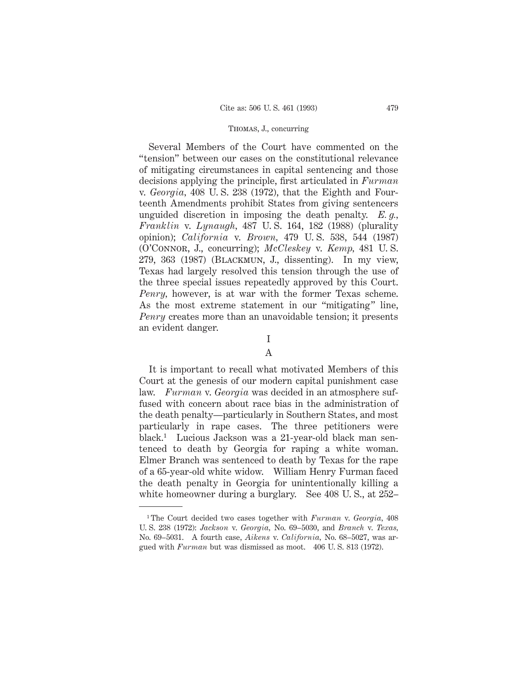Several Members of the Court have commented on the "tension" between our cases on the constitutional relevance of mitigating circumstances in capital sentencing and those decisions applying the principle, first articulated in *Furman* v. *Georgia,* 408 U. S. 238 (1972), that the Eighth and Fourteenth Amendments prohibit States from giving sentencers unguided discretion in imposing the death penalty. *E. g., Franklin* v. *Lynaugh,* 487 U. S. 164, 182 (1988) (plurality opinion); *California* v. *Brown,* 479 U. S. 538, 544 (1987) (O'Connor, J., concurring); *McCleskey* v. *Kemp,* 481 U. S. 279, 363 (1987) (Blackmun, J., dissenting). In my view, Texas had largely resolved this tension through the use of the three special issues repeatedly approved by this Court. *Penry,* however, is at war with the former Texas scheme. As the most extreme statement in our "mitigating" line, *Penry* creates more than an unavoidable tension; it presents an evident danger.

#### I

# A

It is important to recall what motivated Members of this Court at the genesis of our modern capital punishment case law. *Furman* v. *Georgia* was decided in an atmosphere suffused with concern about race bias in the administration of the death penalty—particularly in Southern States, and most particularly in rape cases. The three petitioners were black.1 Lucious Jackson was a 21-year-old black man sentenced to death by Georgia for raping a white woman. Elmer Branch was sentenced to death by Texas for the rape of a 65-year-old white widow. William Henry Furman faced the death penalty in Georgia for unintentionally killing a white homeowner during a burglary. See 408 U. S., at 252–

<sup>1</sup> The Court decided two cases together with *Furman* v. *Georgia,* 408 U. S. 238 (1972): *Jackson* v. *Georgia,* No. 69–5030, and *Branch* v. *Texas,* No. 69–5031. A fourth case, *Aikens* v. *California,* No. 68–5027, was argued with *Furman* but was dismissed as moot. 406 U. S. 813 (1972).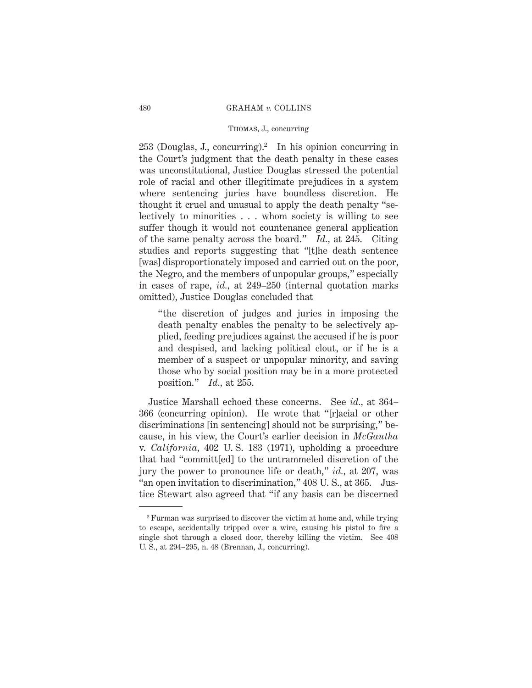# Thomas, J., concurring

 $253$  (Douglas, J., concurring).<sup>2</sup> In his opinion concurring in the Court's judgment that the death penalty in these cases was unconstitutional, Justice Douglas stressed the potential role of racial and other illegitimate prejudices in a system where sentencing juries have boundless discretion. He thought it cruel and unusual to apply the death penalty "selectively to minorities . . . whom society is willing to see suffer though it would not countenance general application of the same penalty across the board." *Id.,* at 245. Citing studies and reports suggesting that "[t]he death sentence [was] disproportionately imposed and carried out on the poor, the Negro, and the members of unpopular groups," especially in cases of rape, *id.,* at 249–250 (internal quotation marks omitted), Justice Douglas concluded that

"the discretion of judges and juries in imposing the death penalty enables the penalty to be selectively applied, feeding prejudices against the accused if he is poor and despised, and lacking political clout, or if he is a member of a suspect or unpopular minority, and saving those who by social position may be in a more protected position." *Id.,* at 255.

Justice Marshall echoed these concerns. See *id.,* at 364– 366 (concurring opinion). He wrote that "[r]acial or other discriminations [in sentencing] should not be surprising," because, in his view, the Court's earlier decision in *McGautha* v. *California,* 402 U. S. 183 (1971), upholding a procedure that had "committ[ed] to the untrammeled discretion of the jury the power to pronounce life or death," *id.,* at 207, was "an open invitation to discrimination," 408 U. S., at 365. Justice Stewart also agreed that "if any basis can be discerned

<sup>2</sup> Furman was surprised to discover the victim at home and, while trying to escape, accidentally tripped over a wire, causing his pistol to fire a single shot through a closed door, thereby killing the victim. See 408 U. S., at 294–295, n. 48 (Brennan, J., concurring).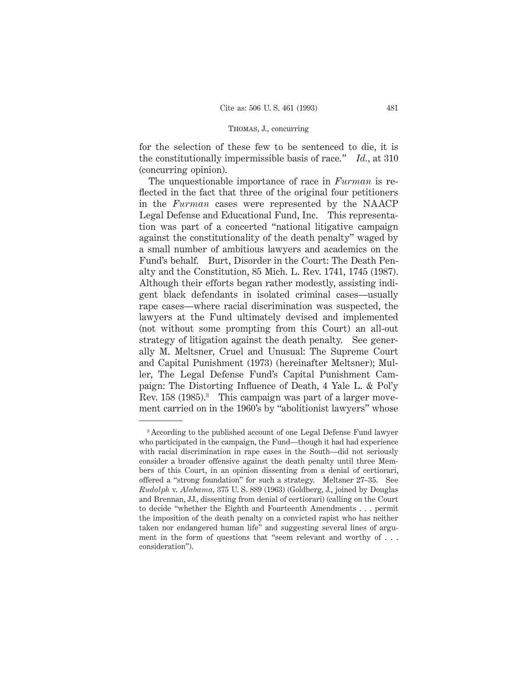for the selection of these few to be sentenced to die, it is the constitutionally impermissible basis of race." *Id.,* at 310 (concurring opinion).

The unquestionable importance of race in *Furman* is reflected in the fact that three of the original four petitioners in the *Furman* cases were represented by the NAACP Legal Defense and Educational Fund, Inc. This representation was part of a concerted "national litigative campaign against the constitutionality of the death penalty" waged by a small number of ambitious lawyers and academics on the Fund's behalf. Burt, Disorder in the Court: The Death Penalty and the Constitution, 85 Mich. L. Rev. 1741, 1745 (1987). Although their efforts began rather modestly, assisting indigent black defendants in isolated criminal cases—usually rape cases—where racial discrimination was suspected, the lawyers at the Fund ultimately devised and implemented (not without some prompting from this Court) an all-out strategy of litigation against the death penalty. See generally M. Meltsner, Cruel and Unusual: The Supreme Court and Capital Punishment (1973) (hereinafter Meltsner); Muller, The Legal Defense Fund's Capital Punishment Campaign: The Distorting Influence of Death, 4 Yale L. & Pol'y Rev. 158 (1985).<sup>3</sup> This campaign was part of a larger movement carried on in the 1960's by "abolitionist lawyers" whose

<sup>3</sup> According to the published account of one Legal Defense Fund lawyer who participated in the campaign, the Fund—though it had had experience with racial discrimination in rape cases in the South—did not seriously consider a broader offensive against the death penalty until three Members of this Court, in an opinion dissenting from a denial of certiorari, offered a "strong foundation" for such a strategy. Meltsner 27–35. See *Rudolph* v. *Alabama,* 375 U. S. 889 (1963) (Goldberg, J., joined by Douglas and Brennan, JJ., dissenting from denial of certiorari) (calling on the Court to decide "whether the Eighth and Fourteenth Amendments . . . permit the imposition of the death penalty on a convicted rapist who has neither taken nor endangered human life" and suggesting several lines of argument in the form of questions that "seem relevant and worthy of... consideration").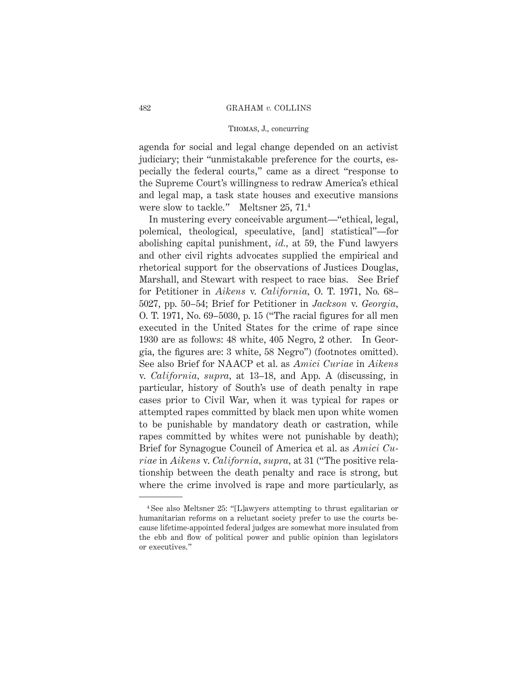# Thomas, J., concurring

agenda for social and legal change depended on an activist judiciary; their "unmistakable preference for the courts, especially the federal courts," came as a direct "response to the Supreme Court's willingness to redraw America's ethical and legal map, a task state houses and executive mansions were slow to tackle." Meltsner 25, 71.4

In mustering every conceivable argument—"ethical, legal, polemical, theological, speculative, [and] statistical"—for abolishing capital punishment, *id.,* at 59, the Fund lawyers and other civil rights advocates supplied the empirical and rhetorical support for the observations of Justices Douglas, Marshall, and Stewart with respect to race bias. See Brief for Petitioner in *Aikens* v. *California,* O. T. 1971, No. 68– 5027, pp. 50–54; Brief for Petitioner in *Jackson* v. *Georgia,* O. T. 1971, No. 69–5030, p. 15 ("The racial figures for all men executed in the United States for the crime of rape since 1930 are as follows: 48 white, 405 Negro, 2 other. In Georgia, the figures are: 3 white, 58 Negro") (footnotes omitted). See also Brief for NAACP et al. as *Amici Curiae* in *Aikens* v. *California, supra,* at 13–18, and App. A (discussing, in particular, history of South's use of death penalty in rape cases prior to Civil War, when it was typical for rapes or attempted rapes committed by black men upon white women to be punishable by mandatory death or castration, while rapes committed by whites were not punishable by death); Brief for Synagogue Council of America et al. as *Amici Curiae* in *Aikens* v. *California, supra,* at 31 ("The positive relationship between the death penalty and race is strong, but where the crime involved is rape and more particularly, as

<sup>4</sup> See also Meltsner 25: "[L]awyers attempting to thrust egalitarian or humanitarian reforms on a reluctant society prefer to use the courts because lifetime-appointed federal judges are somewhat more insulated from the ebb and flow of political power and public opinion than legislators or executives."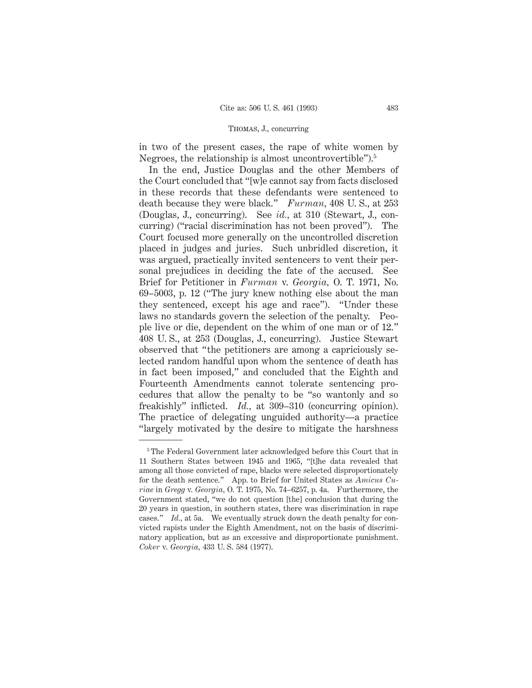in two of the present cases, the rape of white women by Negroes, the relationship is almost uncontrovertible").5

In the end, Justice Douglas and the other Members of the Court concluded that "[w]e cannot say from facts disclosed in these records that these defendants were sentenced to death because they were black." *Furman,* 408 U. S., at 253 (Douglas, J., concurring). See *id.,* at 310 (Stewart, J., concurring) ("racial discrimination has not been proved"). The Court focused more generally on the uncontrolled discretion placed in judges and juries. Such unbridled discretion, it was argued, practically invited sentencers to vent their personal prejudices in deciding the fate of the accused. See Brief for Petitioner in *Furman* v. *Georgia,* O. T. 1971, No. 69–5003, p. 12 ("The jury knew nothing else about the man they sentenced, except his age and race"). "Under these laws no standards govern the selection of the penalty. People live or die, dependent on the whim of one man or of 12." 408 U. S., at 253 (Douglas, J., concurring). Justice Stewart observed that "the petitioners are among a capriciously selected random handful upon whom the sentence of death has in fact been imposed," and concluded that the Eighth and Fourteenth Amendments cannot tolerate sentencing procedures that allow the penalty to be "so wantonly and so freakishly" inflicted. *Id.*, at 309–310 (concurring opinion). The practice of delegating unguided authority—a practice "largely motivated by the desire to mitigate the harshness

<sup>&</sup>lt;sup>5</sup> The Federal Government later acknowledged before this Court that in 11 Southern States between 1945 and 1965, "[t]he data revealed that among all those convicted of rape, blacks were selected disproportionately for the death sentence." App. to Brief for United States as *Amicus Curiae* in *Gregg* v. *Georgia,* O. T. 1975, No. 74–6257, p. 4a. Furthermore, the Government stated, "we do not question [the] conclusion that during the 20 years in question, in southern states, there was discrimination in rape cases." *Id.,* at 5a. We eventually struck down the death penalty for convicted rapists under the Eighth Amendment, not on the basis of discriminatory application, but as an excessive and disproportionate punishment. *Coker* v. *Georgia,* 433 U. S. 584 (1977).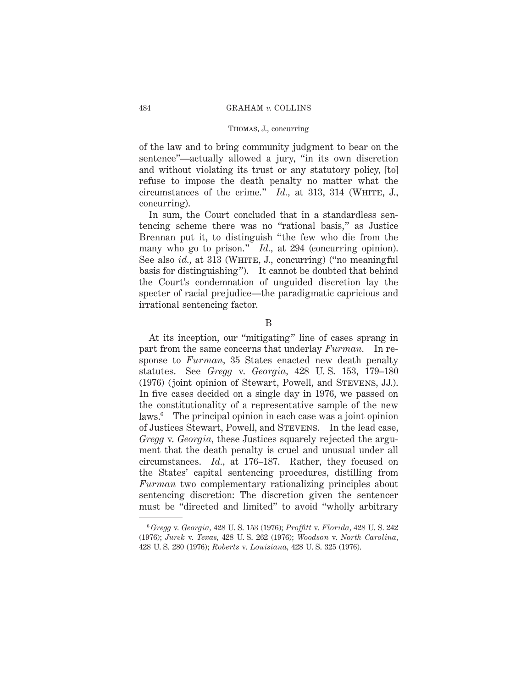of the law and to bring community judgment to bear on the sentence"—actually allowed a jury, "in its own discretion and without violating its trust or any statutory policy, [to] refuse to impose the death penalty no matter what the circumstances of the crime." *Id.*, at 313, 314 (WHITE, J., concurring).

In sum, the Court concluded that in a standardless sentencing scheme there was no "rational basis," as Justice Brennan put it, to distinguish "the few who die from the many who go to prison." *Id.*, at 294 (concurring opinion). See also *id.*, at 313 (WHITE, J., concurring) ("no meaningful basis for distinguishing"). It cannot be doubted that behind the Court's condemnation of unguided discretion lay the specter of racial prejudice—the paradigmatic capricious and irrational sentencing factor.

#### B

At its inception, our "mitigating" line of cases sprang in part from the same concerns that underlay *Furman.* In response to *Furman,* 35 States enacted new death penalty statutes. See *Gregg* v. *Georgia,* 428 U. S. 153, 179–180 (1976) (joint opinion of Stewart, Powell, and Stevens, JJ.). In five cases decided on a single day in 1976, we passed on the constitutionality of a representative sample of the new laws.6 The principal opinion in each case was a joint opinion of Justices Stewart, Powell, and Stevens. In the lead case, *Gregg* v. *Georgia,* these Justices squarely rejected the argument that the death penalty is cruel and unusual under all circumstances. *Id.,* at 176–187. Rather, they focused on the States' capital sentencing procedures, distilling from *Furman* two complementary rationalizing principles about sentencing discretion: The discretion given the sentencer must be "directed and limited" to avoid "wholly arbitrary

<sup>6</sup> *Gregg* v. *Georgia,* 428 U. S. 153 (1976); *Proffitt* v. *Florida,* 428 U. S. 242 (1976); *Jurek* v. *Texas,* 428 U. S. 262 (1976); *Woodson* v. *North Carolina,* 428 U. S. 280 (1976); *Roberts* v. *Louisiana,* 428 U. S. 325 (1976).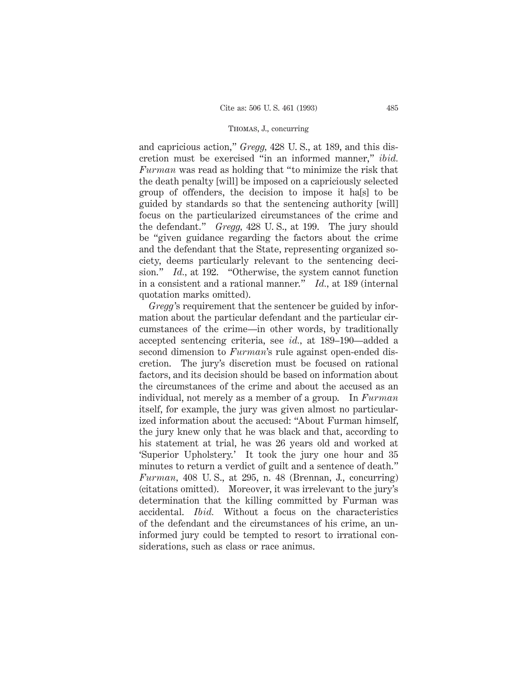and capricious action," *Gregg,* 428 U. S., at 189, and this discretion must be exercised "in an informed manner," *ibid. Furman* was read as holding that "to minimize the risk that the death penalty [will] be imposed on a capriciously selected group of offenders, the decision to impose it ha[s] to be guided by standards so that the sentencing authority [will] focus on the particularized circumstances of the crime and the defendant." *Gregg,* 428 U. S., at 199. The jury should be "given guidance regarding the factors about the crime and the defendant that the State, representing organized society, deems particularly relevant to the sentencing decision." *Id.,* at 192. "Otherwise, the system cannot function in a consistent and a rational manner." *Id.,* at 189 (internal quotation marks omitted).

*Gregg*'s requirement that the sentencer be guided by information about the particular defendant and the particular circumstances of the crime—in other words, by traditionally accepted sentencing criteria, see *id.,* at 189–190—added a second dimension to *Furman*'s rule against open-ended discretion. The jury's discretion must be focused on rational factors, and its decision should be based on information about the circumstances of the crime and about the accused as an individual, not merely as a member of a group. In *Furman* itself, for example, the jury was given almost no particularized information about the accused: "About Furman himself, the jury knew only that he was black and that, according to his statement at trial, he was 26 years old and worked at 'Superior Upholstery.' It took the jury one hour and 35 minutes to return a verdict of guilt and a sentence of death." *Furman,* 408 U. S., at 295, n. 48 (Brennan, J., concurring) (citations omitted). Moreover, it was irrelevant to the jury's determination that the killing committed by Furman was accidental. *Ibid.* Without a focus on the characteristics of the defendant and the circumstances of his crime, an uninformed jury could be tempted to resort to irrational considerations, such as class or race animus.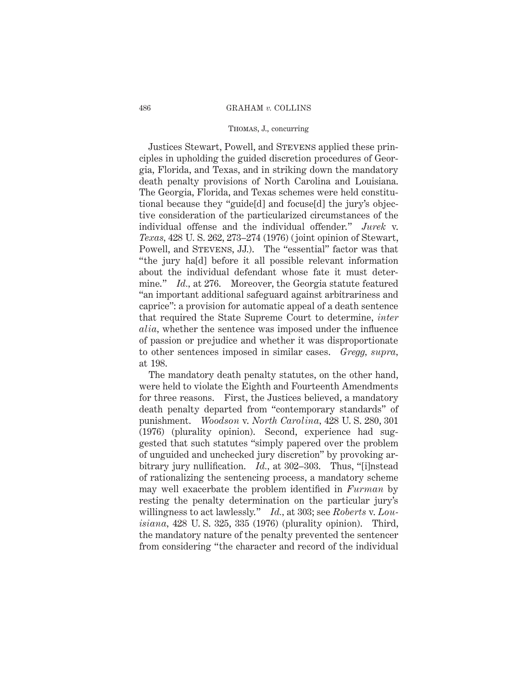### Thomas, J., concurring

Justices Stewart, Powell, and Stevens applied these principles in upholding the guided discretion procedures of Georgia, Florida, and Texas, and in striking down the mandatory death penalty provisions of North Carolina and Louisiana. The Georgia, Florida, and Texas schemes were held constitutional because they "guide[d] and focuse[d] the jury's objective consideration of the particularized circumstances of the individual offense and the individual offender." *Jurek* v. *Texas,* 428 U. S. 262, 273–274 (1976) (joint opinion of Stewart, Powell, and STEVENS, JJ.). The "essential" factor was that "the jury ha[d] before it all possible relevant information about the individual defendant whose fate it must determine." *Id.*, at 276. Moreover, the Georgia statute featured "an important additional safeguard against arbitrariness and caprice": a provision for automatic appeal of a death sentence that required the State Supreme Court to determine, *inter alia,* whether the sentence was imposed under the influence of passion or prejudice and whether it was disproportionate to other sentences imposed in similar cases. *Gregg, supra,* at 198.

The mandatory death penalty statutes, on the other hand, were held to violate the Eighth and Fourteenth Amendments for three reasons. First, the Justices believed, a mandatory death penalty departed from "contemporary standards" of punishment. *Woodson* v. *North Carolina,* 428 U. S. 280, 301 (1976) (plurality opinion). Second, experience had suggested that such statutes "simply papered over the problem of unguided and unchecked jury discretion" by provoking arbitrary jury nullification. *Id.,* at 302–303. Thus, "[i]nstead of rationalizing the sentencing process, a mandatory scheme may well exacerbate the problem identified in *Furman* by resting the penalty determination on the particular jury's willingness to act lawlessly." *Id.,* at 303; see *Roberts* v. *Louisiana,* 428 U. S. 325, 335 (1976) (plurality opinion). Third, the mandatory nature of the penalty prevented the sentencer from considering "the character and record of the individual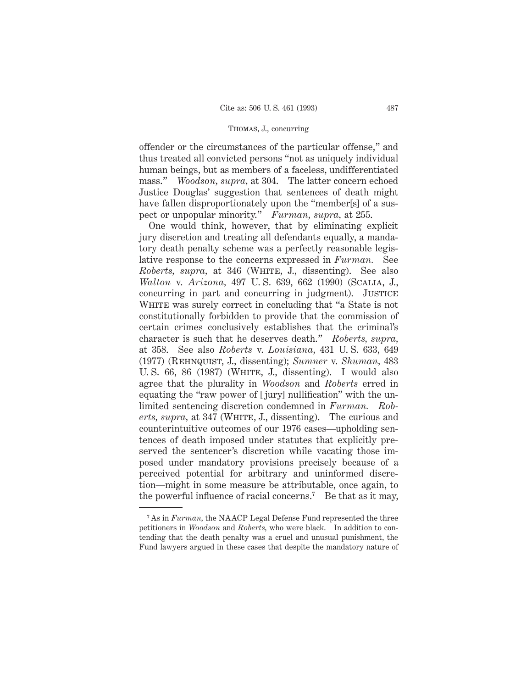offender or the circumstances of the particular offense," and thus treated all convicted persons "not as uniquely individual human beings, but as members of a faceless, undifferentiated mass." *Woodson, supra,* at 304. The latter concern echoed Justice Douglas' suggestion that sentences of death might have fallen disproportionately upon the "member[s] of a suspect or unpopular minority." *Furman, supra,* at 255.

One would think, however, that by eliminating explicit jury discretion and treating all defendants equally, a mandatory death penalty scheme was a perfectly reasonable legislative response to the concerns expressed in *Furman.* See *Roberts, supra,* at 346 (WHITE, J., dissenting). See also *Walton* v. *Arizona,* 497 U. S. 639, 662 (1990) (Scalia, J., concurring in part and concurring in judgment). JUSTICE WHITE was surely correct in concluding that "a State is not constitutionally forbidden to provide that the commission of certain crimes conclusively establishes that the criminal's character is such that he deserves death." *Roberts, supra,* at 358. See also *Roberts* v. *Louisiana,* 431 U. S. 633, 649 (1977) (Rehnquist, J., dissenting); *Sumner* v. *Shuman,* 483 U. S.  $66$ ,  $86$  (1987) (WHITE, J., dissenting). I would also agree that the plurality in *Woodson* and *Roberts* erred in equating the "raw power of [ jury] nullification" with the unlimited sentencing discretion condemned in *Furman. Roberts, supra,* at 347 (WHITE, J., dissenting). The curious and counterintuitive outcomes of our 1976 cases—upholding sentences of death imposed under statutes that explicitly preserved the sentencer's discretion while vacating those imposed under mandatory provisions precisely because of a perceived potential for arbitrary and uninformed discretion—might in some measure be attributable, once again, to the powerful influence of racial concerns.<sup>7</sup> Be that as it may,

<sup>7</sup> As in *Furman,* the NAACP Legal Defense Fund represented the three petitioners in *Woodson* and *Roberts,* who were black. In addition to contending that the death penalty was a cruel and unusual punishment, the Fund lawyers argued in these cases that despite the mandatory nature of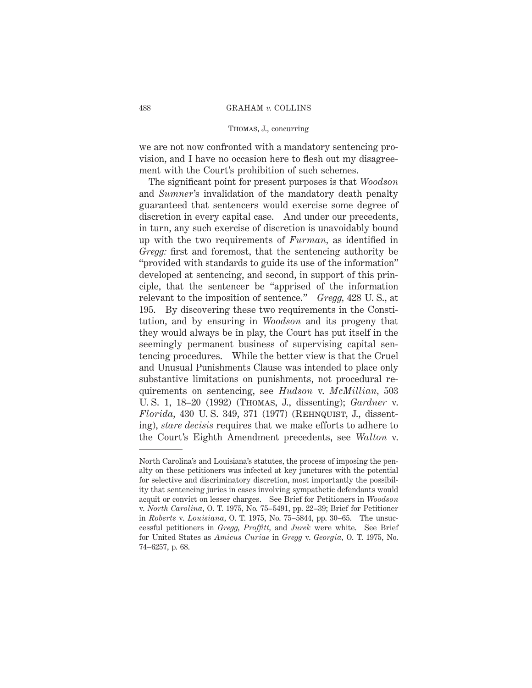## Thomas, J., concurring

we are not now confronted with a mandatory sentencing provision, and I have no occasion here to flesh out my disagreement with the Court's prohibition of such schemes.

The significant point for present purposes is that *Woodson* and *Sumner*'s invalidation of the mandatory death penalty guaranteed that sentencers would exercise some degree of discretion in every capital case. And under our precedents, in turn, any such exercise of discretion is unavoidably bound up with the two requirements of *Furman,* as identified in *Gregg:* first and foremost, that the sentencing authority be "provided with standards to guide its use of the information" developed at sentencing, and second, in support of this principle, that the sentencer be "apprised of the information relevant to the imposition of sentence." *Gregg,* 428 U. S., at 195. By discovering these two requirements in the Constitution, and by ensuring in *Woodson* and its progeny that they would always be in play, the Court has put itself in the seemingly permanent business of supervising capital sentencing procedures. While the better view is that the Cruel and Unusual Punishments Clause was intended to place only substantive limitations on punishments, not procedural requirements on sentencing, see *Hudson* v. *McMillian,* 503 U. S. 1, 18–20 (1992) (Thomas, J., dissenting); *Gardner* v. *Florida,* 430 U. S. 349, 371 (1977) (Rehnquist, J., dissenting), *stare decisis* requires that we make efforts to adhere to the Court's Eighth Amendment precedents, see *Walton* v.

North Carolina's and Louisiana's statutes, the process of imposing the penalty on these petitioners was infected at key junctures with the potential for selective and discriminatory discretion, most importantly the possibility that sentencing juries in cases involving sympathetic defendants would acquit or convict on lesser charges. See Brief for Petitioners in *Woodson* v. *North Carolina,* O. T. 1975, No. 75–5491, pp. 22–39; Brief for Petitioner in *Roberts* v. *Louisiana,* O. T. 1975, No. 75–5844, pp. 30–65. The unsuccessful petitioners in *Gregg, Proffitt,* and *Jurek* were white. See Brief for United States as *Amicus Curiae* in *Gregg* v. *Georgia,* O. T. 1975, No. 74–6257, p. 68.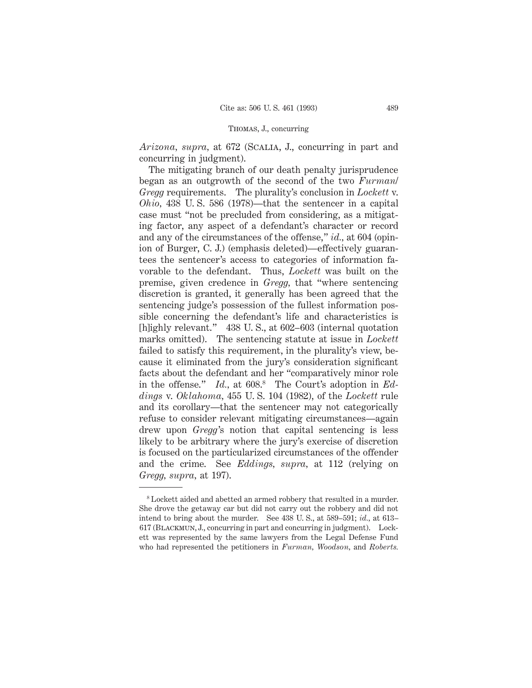*Arizona, supra,* at 672 (Scalia, J., concurring in part and concurring in judgment).

The mitigating branch of our death penalty jurisprudence began as an outgrowth of the second of the two *Furman*/ *Gregg* requirements. The plurality's conclusion in *Lockett* v. *Ohio,* 438 U. S. 586 (1978)—that the sentencer in a capital case must "not be precluded from considering, as a mitigating factor, any aspect of a defendant's character or record and any of the circumstances of the offense," *id.,* at 604 (opinion of Burger, C. J.) (emphasis deleted)—effectively guarantees the sentencer's access to categories of information favorable to the defendant. Thus, *Lockett* was built on the premise, given credence in *Gregg,* that "where sentencing discretion is granted, it generally has been agreed that the sentencing judge's possession of the fullest information possible concerning the defendant's life and characteristics is [h]ighly relevant." 438 U. S., at 602–603 (internal quotation marks omitted). The sentencing statute at issue in *Lockett* failed to satisfy this requirement, in the plurality's view, because it eliminated from the jury's consideration significant facts about the defendant and her "comparatively minor role in the offense." *Id.*, at 608.<sup>8</sup> The Court's adoption in *Eddings* v. *Oklahoma,* 455 U. S. 104 (1982), of the *Lockett* rule and its corollary—that the sentencer may not categorically refuse to consider relevant mitigating circumstances—again drew upon *Gregg*'s notion that capital sentencing is less likely to be arbitrary where the jury's exercise of discretion is focused on the particularized circumstances of the offender and the crime. See *Eddings, supra,* at 112 (relying on *Gregg, supra,* at 197).

<sup>8</sup> Lockett aided and abetted an armed robbery that resulted in a murder. She drove the getaway car but did not carry out the robbery and did not intend to bring about the murder. See 438 U. S., at 589–591; *id.,* at 613– 617 (Blackmun, J., concurring in part and concurring in judgment). Lockett was represented by the same lawyers from the Legal Defense Fund who had represented the petitioners in *Furman, Woodson,* and *Roberts.*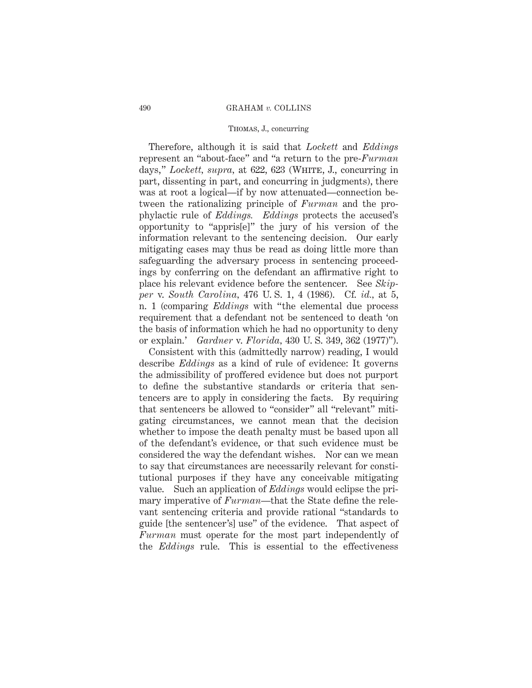### Thomas, J., concurring

Therefore, although it is said that *Lockett* and *Eddings* represent an "about-face" and "a return to the pre-*Furman* days," *Lockett, supra,* at 622, 623 (White, J., concurring in part, dissenting in part, and concurring in judgments), there was at root a logical—if by now attenuated—connection between the rationalizing principle of *Furman* and the prophylactic rule of *Eddings. Eddings* protects the accused's opportunity to "appris[e]" the jury of his version of the information relevant to the sentencing decision. Our early mitigating cases may thus be read as doing little more than safeguarding the adversary process in sentencing proceedings by conferring on the defendant an affirmative right to place his relevant evidence before the sentencer. See *Skipper* v. *South Carolina,* 476 U. S. 1, 4 (1986). Cf. *id.,* at 5, n. 1 (comparing *Eddings* with "the elemental due process requirement that a defendant not be sentenced to death 'on the basis of information which he had no opportunity to deny or explain.' *Gardner* v. *Florida,* 430 U. S. 349, 362 (1977)").

Consistent with this (admittedly narrow) reading, I would describe *Eddings* as a kind of rule of evidence: It governs the admissibility of proffered evidence but does not purport to define the substantive standards or criteria that sentencers are to apply in considering the facts. By requiring that sentencers be allowed to "consider" all "relevant" mitigating circumstances, we cannot mean that the decision whether to impose the death penalty must be based upon all of the defendant's evidence, or that such evidence must be considered the way the defendant wishes. Nor can we mean to say that circumstances are necessarily relevant for constitutional purposes if they have any conceivable mitigating value. Such an application of *Eddings* would eclipse the primary imperative of *Furman*—that the State define the relevant sentencing criteria and provide rational "standards to guide [the sentencer's] use" of the evidence. That aspect of *Furman* must operate for the most part independently of the *Eddings* rule. This is essential to the effectiveness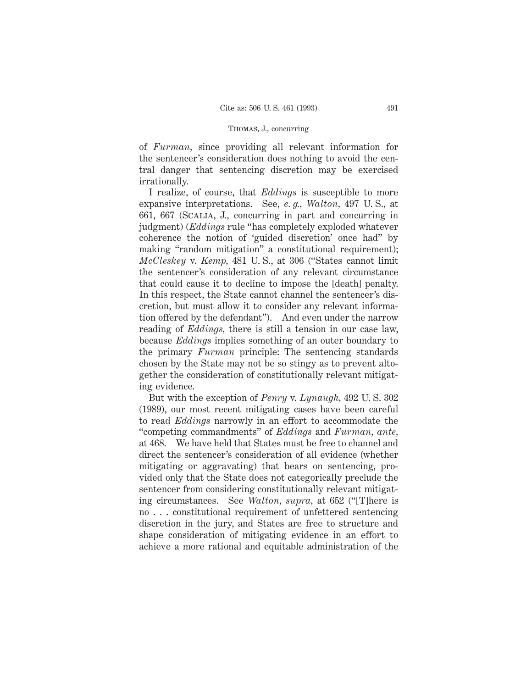of *Furman,* since providing all relevant information for the sentencer's consideration does nothing to avoid the central danger that sentencing discretion may be exercised irrationally.

I realize, of course, that *Eddings* is susceptible to more expansive interpretations. See, *e. g., Walton,* 497 U. S., at 661, 667 (Scalia, J., concurring in part and concurring in judgment) (*Eddings* rule "has completely exploded whatever coherence the notion of 'guided discretion' once had" by making "random mitigation" a constitutional requirement); *McCleskey* v. *Kemp,* 481 U. S., at 306 ("States cannot limit the sentencer's consideration of any relevant circumstance that could cause it to decline to impose the [death] penalty. In this respect, the State cannot channel the sentencer's discretion, but must allow it to consider any relevant information offered by the defendant"). And even under the narrow reading of *Eddings,* there is still a tension in our case law, because *Eddings* implies something of an outer boundary to the primary *Furman* principle: The sentencing standards chosen by the State may not be so stingy as to prevent altogether the consideration of constitutionally relevant mitigating evidence.

But with the exception of *Penry* v. *Lynaugh,* 492 U. S. 302 (1989), our most recent mitigating cases have been careful to read *Eddings* narrowly in an effort to accommodate the "competing commandments" of *Eddings* and *Furman, ante,* at 468. We have held that States must be free to channel and direct the sentencer's consideration of all evidence (whether mitigating or aggravating) that bears on sentencing, provided only that the State does not categorically preclude the sentencer from considering constitutionally relevant mitigating circumstances. See *Walton, supra,* at 652 ("[T]here is no . . . constitutional requirement of unfettered sentencing discretion in the jury, and States are free to structure and shape consideration of mitigating evidence in an effort to achieve a more rational and equitable administration of the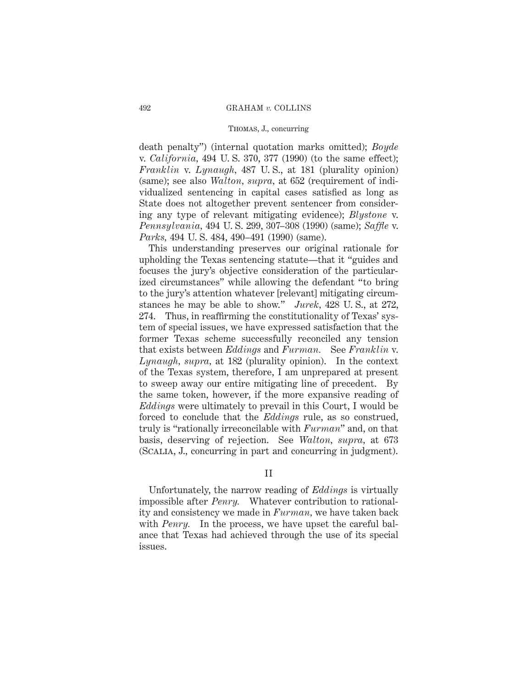death penalty") (internal quotation marks omitted); *Boyde* v. *California,* 494 U. S. 370, 377 (1990) (to the same effect); *Franklin* v. *Lynaugh,* 487 U. S., at 181 (plurality opinion) (same); see also *Walton, supra,* at 652 (requirement of individualized sentencing in capital cases satisfied as long as State does not altogether prevent sentencer from considering any type of relevant mitigating evidence); *Blystone* v. *Pennsylvania,* 494 U. S. 299, 307–308 (1990) (same); *Saffle* v. *Parks,* 494 U. S. 484, 490–491 (1990) (same).

This understanding preserves our original rationale for upholding the Texas sentencing statute—that it "guides and focuses the jury's objective consideration of the particularized circumstances" while allowing the defendant "to bring to the jury's attention whatever [relevant] mitigating circumstances he may be able to show." *Jurek,* 428 U. S., at 272, 274. Thus, in reaffirming the constitutionality of Texas' system of special issues, we have expressed satisfaction that the former Texas scheme successfully reconciled any tension that exists between *Eddings* and *Furman.* See *Franklin* v. *Lynaugh, supra,* at 182 (plurality opinion). In the context of the Texas system, therefore, I am unprepared at present to sweep away our entire mitigating line of precedent. By the same token, however, if the more expansive reading of *Eddings* were ultimately to prevail in this Court, I would be forced to conclude that the *Eddings* rule, as so construed, truly is "rationally irreconcilable with *Furman*" and, on that basis, deserving of rejection. See *Walton, supra,* at 673 (Scalia, J., concurring in part and concurring in judgment).

II

Unfortunately, the narrow reading of *Eddings* is virtually impossible after *Penry.* Whatever contribution to rationality and consistency we made in *Furman,* we have taken back with *Penry*. In the process, we have upset the careful balance that Texas had achieved through the use of its special issues.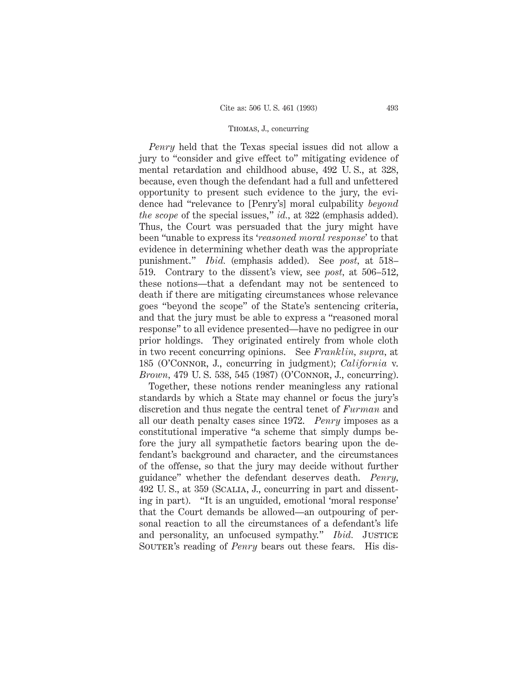*Penry* held that the Texas special issues did not allow a jury to "consider and give effect to" mitigating evidence of mental retardation and childhood abuse, 492 U. S., at 328, because, even though the defendant had a full and unfettered opportunity to present such evidence to the jury, the evidence had "relevance to [Penry's] moral culpability *beyond the scope* of the special issues," *id.,* at 322 (emphasis added). Thus, the Court was persuaded that the jury might have been "unable to express its '*reasoned moral response*' to that evidence in determining whether death was the appropriate punishment." *Ibid.* (emphasis added). See *post,* at 518– 519. Contrary to the dissent's view, see *post,* at 506–512, these notions—that a defendant may not be sentenced to death if there are mitigating circumstances whose relevance goes "beyond the scope" of the State's sentencing criteria, and that the jury must be able to express a "reasoned moral response" to all evidence presented—have no pedigree in our prior holdings. They originated entirely from whole cloth in two recent concurring opinions. See *Franklin, supra,* at 185 (O'Connor, J., concurring in judgment); *California* v. *Brown,* 479 U. S. 538, 545 (1987) (O'Connor, J., concurring).

Together, these notions render meaningless any rational standards by which a State may channel or focus the jury's discretion and thus negate the central tenet of *Furman* and all our death penalty cases since 1972. *Penry* imposes as a constitutional imperative "a scheme that simply dumps before the jury all sympathetic factors bearing upon the defendant's background and character, and the circumstances of the offense, so that the jury may decide without further guidance" whether the defendant deserves death. *Penry,* 492 U. S., at 359 (Scalia, J., concurring in part and dissenting in part). "It is an unguided, emotional 'moral response' that the Court demands be allowed—an outpouring of personal reaction to all the circumstances of a defendant's life and personality, an unfocused sympathy." *Ibid.* JUSTICE SOUTER's reading of *Penry* bears out these fears. His dis-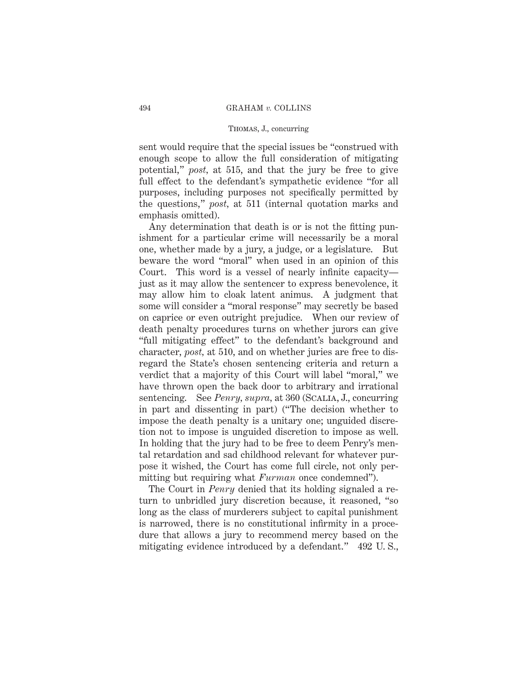sent would require that the special issues be "construed with enough scope to allow the full consideration of mitigating potential," *post,* at 515, and that the jury be free to give full effect to the defendant's sympathetic evidence "for all purposes, including purposes not specifically permitted by the questions," *post,* at 511 (internal quotation marks and emphasis omitted).

Any determination that death is or is not the fitting punishment for a particular crime will necessarily be a moral one, whether made by a jury, a judge, or a legislature. But beware the word "moral" when used in an opinion of this Court. This word is a vessel of nearly infinite capacity just as it may allow the sentencer to express benevolence, it may allow him to cloak latent animus. A judgment that some will consider a "moral response" may secretly be based on caprice or even outright prejudice. When our review of death penalty procedures turns on whether jurors can give "full mitigating effect" to the defendant's background and character, *post,* at 510, and on whether juries are free to disregard the State's chosen sentencing criteria and return a verdict that a majority of this Court will label "moral," we have thrown open the back door to arbitrary and irrational sentencing. See *Penry, supra,* at 360 (Scalia, J., concurring in part and dissenting in part) ("The decision whether to impose the death penalty is a unitary one; unguided discretion not to impose is unguided discretion to impose as well. In holding that the jury had to be free to deem Penry's mental retardation and sad childhood relevant for whatever purpose it wished, the Court has come full circle, not only permitting but requiring what *Furman* once condemned").

The Court in *Penry* denied that its holding signaled a return to unbridled jury discretion because, it reasoned, "so long as the class of murderers subject to capital punishment is narrowed, there is no constitutional infirmity in a procedure that allows a jury to recommend mercy based on the mitigating evidence introduced by a defendant." 492 U. S.,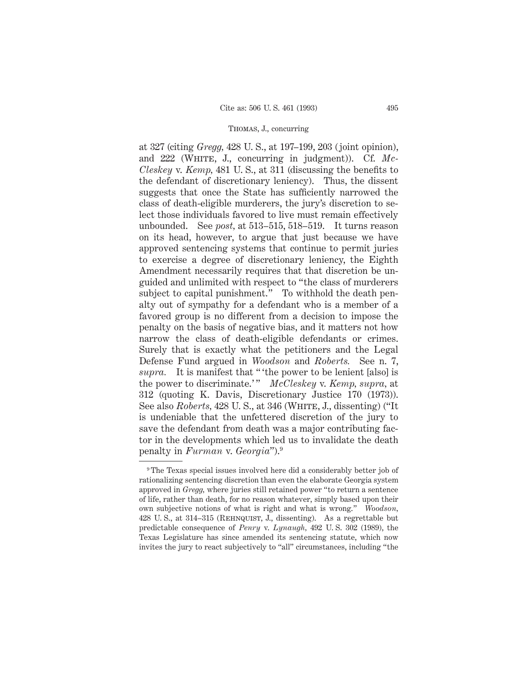at 327 (citing *Gregg,* 428 U. S., at 197–199, 203 (joint opinion), and 222 (WHITE, J., concurring in judgment)). Cf. Mc-*Cleskey* v. *Kemp,* 481 U. S., at 311 (discussing the benefits to the defendant of discretionary leniency). Thus, the dissent suggests that once the State has sufficiently narrowed the class of death-eligible murderers, the jury's discretion to select those individuals favored to live must remain effectively unbounded. See *post,* at 513–515, 518–519. It turns reason on its head, however, to argue that just because we have approved sentencing systems that continue to permit juries to exercise a degree of discretionary leniency, the Eighth Amendment necessarily requires that that discretion be unguided and unlimited with respect to "the class of murderers subject to capital punishment." To withhold the death penalty out of sympathy for a defendant who is a member of a favored group is no different from a decision to impose the penalty on the basis of negative bias, and it matters not how narrow the class of death-eligible defendants or crimes. Surely that is exactly what the petitioners and the Legal Defense Fund argued in *Woodson* and *Roberts.* See n. 7, *supra.* It is manifest that " 'the power to be lenient [also] is the power to discriminate.'" *McCleskey* v. *Kemp*, *supra*, at 312 (quoting K. Davis, Discretionary Justice 170 (1973)). See also *Roberts*, 428 U.S., at 346 (WHITE, J., dissenting) ("It is undeniable that the unfettered discretion of the jury to save the defendant from death was a major contributing factor in the developments which led us to invalidate the death penalty in *Furman* v. *Georgia*").9

<sup>&</sup>lt;sup>9</sup> The Texas special issues involved here did a considerably better job of rationalizing sentencing discretion than even the elaborate Georgia system approved in *Gregg,* where juries still retained power "to return a sentence of life, rather than death, for no reason whatever, simply based upon their own subjective notions of what is right and what is wrong." *Woodson,* 428 U. S., at 314–315 (Rehnquist, J., dissenting). As a regrettable but predictable consequence of *Penry* v. *Lynaugh,* 492 U. S. 302 (1989), the Texas Legislature has since amended its sentencing statute, which now invites the jury to react subjectively to "all" circumstances, including "the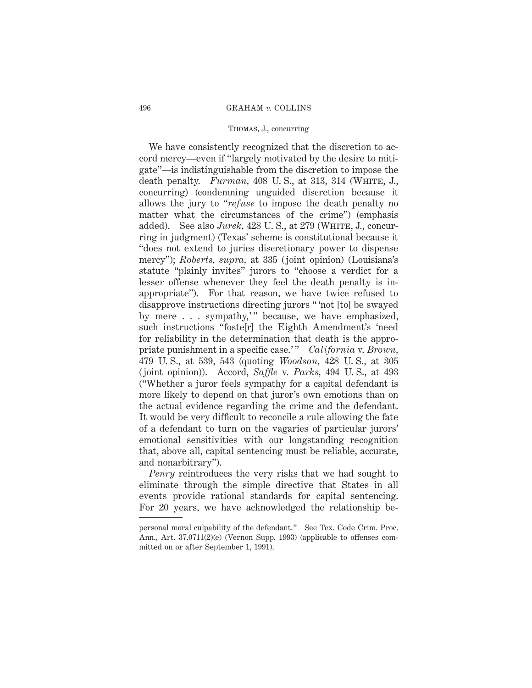## Thomas, J., concurring

We have consistently recognized that the discretion to accord mercy—even if "largely motivated by the desire to mitigate"—is indistinguishable from the discretion to impose the death penalty. *Furman*, 408 U.S., at 313, 314 (WHITE, J., concurring) (condemning unguided discretion because it allows the jury to "*refuse* to impose the death penalty no matter what the circumstances of the crime") (emphasis added). See also *Jurek*, 428 U.S., at 279 (WHITE, J., concurring in judgment) (Texas' scheme is constitutional because it "does not extend to juries discretionary power to dispense mercy"); *Roberts, supra,* at 335 (joint opinion) (Louisiana's statute "plainly invites" jurors to "choose a verdict for a lesser offense whenever they feel the death penalty is inappropriate"). For that reason, we have twice refused to disapprove instructions directing jurors " 'not [to] be swayed by mere . . . sympathy,'" because, we have emphasized. such instructions "foste[r] the Eighth Amendment's 'need for reliability in the determination that death is the appropriate punishment in a specific case.'" *California* v. *Brown*, 479 U. S., at 539, 543 (quoting *Woodson,* 428 U. S., at 305 (joint opinion)). Accord, *Saffle* v. *Parks,* 494 U. S., at 493 ("Whether a juror feels sympathy for a capital defendant is more likely to depend on that juror's own emotions than on the actual evidence regarding the crime and the defendant. It would be very difficult to reconcile a rule allowing the fate of a defendant to turn on the vagaries of particular jurors' emotional sensitivities with our longstanding recognition that, above all, capital sentencing must be reliable, accurate, and nonarbitrary").

*Penry* reintroduces the very risks that we had sought to eliminate through the simple directive that States in all events provide rational standards for capital sentencing. For 20 years, we have acknowledged the relationship be-

personal moral culpability of the defendant." See Tex. Code Crim. Proc. Ann., Art. 37.0711(2)(e) (Vernon Supp. 1993) (applicable to offenses committed on or after September 1, 1991).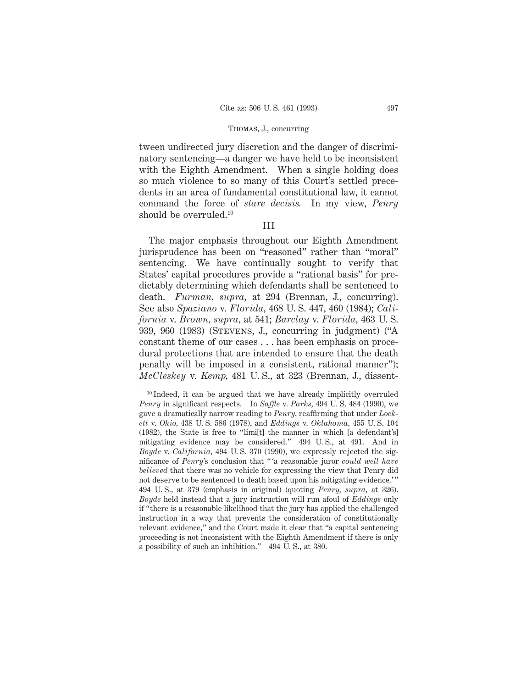tween undirected jury discretion and the danger of discriminatory sentencing—a danger we have held to be inconsistent with the Eighth Amendment. When a single holding does so much violence to so many of this Court's settled precedents in an area of fundamental constitutional law, it cannot command the force of *stare decisis.* In my view, *Penry* should be overruled.10

# III

The major emphasis throughout our Eighth Amendment jurisprudence has been on "reasoned" rather than "moral" sentencing. We have continually sought to verify that States' capital procedures provide a "rational basis" for predictably determining which defendants shall be sentenced to death. *Furman, supra,* at 294 (Brennan, J., concurring). See also *Spaziano* v. *Florida,* 468 U. S. 447, 460 (1984); *California* v. *Brown, supra,* at 541; *Barclay* v. *Florida,* 463 U. S. 939, 960 (1983) (Stevens, J., concurring in judgment) ("A constant theme of our cases . . . has been emphasis on procedural protections that are intended to ensure that the death penalty will be imposed in a consistent, rational manner"); *McCleskey* v. *Kemp,* 481 U. S., at 323 (Brennan, J., dissent-

<sup>&</sup>lt;sup>10</sup> Indeed, it can be argued that we have already implicitly overruled *Penry* in significant respects. In *Saffle* v. *Parks,* 494 U. S. 484 (1990), we gave a dramatically narrow reading to *Penry,* reaffirming that under *Lockett* v. *Ohio,* 438 U. S. 586 (1978), and *Eddings* v. *Oklahoma,* 455 U. S. 104 (1982), the State is free to "limi[t] the manner in which [a defendant's] mitigating evidence may be considered." 494 U. S., at 491. And in *Boyde* v. *California,* 494 U. S. 370 (1990), we expressly rejected the significance of *Penry*'s conclusion that " 'a reasonable juror *could well have believed* that there was no vehicle for expressing the view that Penry did not deserve to be sentenced to death based upon his mitigating evidence.' " 494 U. S., at 379 (emphasis in original) (quoting *Penry, supra,* at 326). *Boyde* held instead that a jury instruction will run afoul of *Eddings* only if "there is a reasonable likelihood that the jury has applied the challenged instruction in a way that prevents the consideration of constitutionally relevant evidence," and the Court made it clear that "a capital sentencing proceeding is not inconsistent with the Eighth Amendment if there is only a possibility of such an inhibition." 494 U. S., at 380.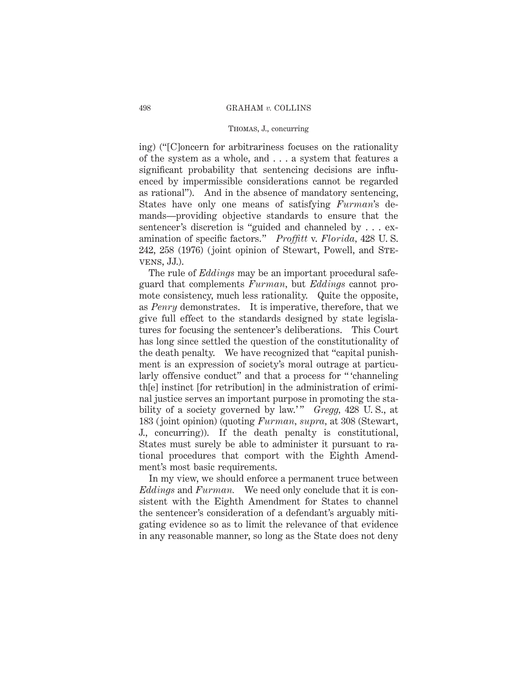## Thomas, J., concurring

ing) ("[C]oncern for arbitrariness focuses on the rationality of the system as a whole, and ...a system that features a significant probability that sentencing decisions are influenced by impermissible considerations cannot be regarded as rational"). And in the absence of mandatory sentencing, States have only one means of satisfying *Furman*'s demands—providing objective standards to ensure that the sentencer's discretion is "guided and channeled by . . . examination of specific factors." *Proffitt* v. *Florida,* 428 U. S. 242, 258 (1976) (joint opinion of Stewart, Powell, and Stevens, JJ.).

The rule of *Eddings* may be an important procedural safeguard that complements *Furman,* but *Eddings* cannot promote consistency, much less rationality. Quite the opposite, as *Penry* demonstrates. It is imperative, therefore, that we give full effect to the standards designed by state legislatures for focusing the sentencer's deliberations. This Court has long since settled the question of the constitutionality of the death penalty. We have recognized that "capital punishment is an expression of society's moral outrage at particularly offensive conduct" and that a process for " 'channeling th[e] instinct [for retribution] in the administration of criminal justice serves an important purpose in promoting the stability of a society governed by law.'" *Gregg*, 428 U.S., at 183 (joint opinion) (quoting *Furman, supra,* at 308 (Stewart, J., concurring)). If the death penalty is constitutional, States must surely be able to administer it pursuant to rational procedures that comport with the Eighth Amendment's most basic requirements.

In my view, we should enforce a permanent truce between *Eddings* and *Furman.* We need only conclude that it is consistent with the Eighth Amendment for States to channel the sentencer's consideration of a defendant's arguably mitigating evidence so as to limit the relevance of that evidence in any reasonable manner, so long as the State does not deny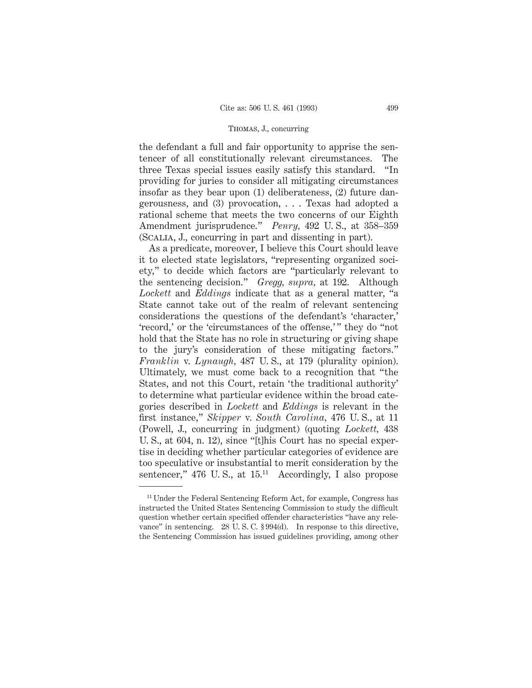the defendant a full and fair opportunity to apprise the sentencer of all constitutionally relevant circumstances. The three Texas special issues easily satisfy this standard. "In providing for juries to consider all mitigating circumstances insofar as they bear upon (1) deliberateness, (2) future dangerousness, and (3) provocation,...Texas had adopted a rational scheme that meets the two concerns of our Eighth Amendment jurisprudence." *Penry,* 492 U. S., at 358–359 (Scalia, J., concurring in part and dissenting in part).

As a predicate, moreover, I believe this Court should leave it to elected state legislators, "representing organized society," to decide which factors are "particularly relevant to the sentencing decision." *Gregg, supra,* at 192. Although *Lockett* and *Eddings* indicate that as a general matter, "a State cannot take out of the realm of relevant sentencing considerations the questions of the defendant's 'character,' 'record,' or the 'circumstances of the offense,'" they do "not hold that the State has no role in structuring or giving shape to the jury's consideration of these mitigating factors." *Franklin* v. *Lynaugh,* 487 U. S., at 179 (plurality opinion). Ultimately, we must come back to a recognition that "the States, and not this Court, retain 'the traditional authority' to determine what particular evidence within the broad categories described in *Lockett* and *Eddings* is relevant in the first instance," *Skipper* v. *South Carolina,* 476 U. S., at 11 (Powell, J., concurring in judgment) (quoting *Lockett,* 438 U. S., at 604, n. 12), since "[t]his Court has no special expertise in deciding whether particular categories of evidence are too speculative or insubstantial to merit consideration by the sentencer,"  $476$  U.S., at  $15.^{11}$  Accordingly, I also propose

<sup>&</sup>lt;sup>11</sup> Under the Federal Sentencing Reform Act, for example, Congress has instructed the United States Sentencing Commission to study the difficult question whether certain specified offender characteristics "have any relevance" in sentencing. 28 U. S. C. § 994(d). In response to this directive, the Sentencing Commission has issued guidelines providing, among other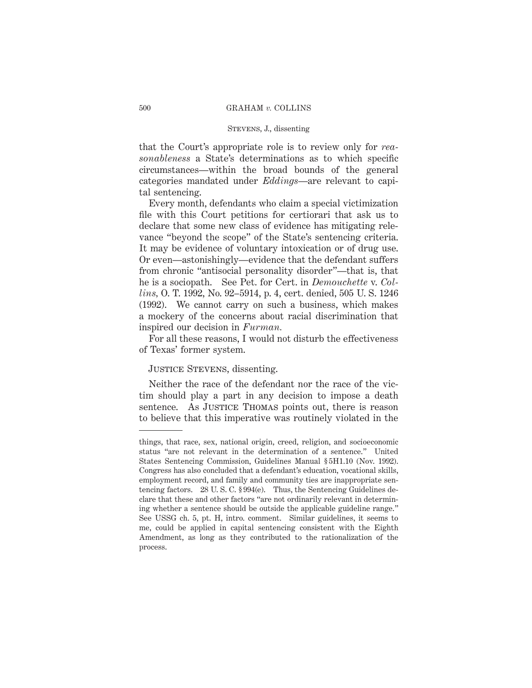that the Court's appropriate role is to review only for *reasonableness* a State's determinations as to which specific circumstances—within the broad bounds of the general categories mandated under *Eddings*—are relevant to capital sentencing.

Every month, defendants who claim a special victimization file with this Court petitions for certiorari that ask us to declare that some new class of evidence has mitigating relevance "beyond the scope" of the State's sentencing criteria. It may be evidence of voluntary intoxication or of drug use. Or even—astonishingly—evidence that the defendant suffers from chronic "antisocial personality disorder"—that is, that he is a sociopath. See Pet. for Cert. in *Demouchette* v. *Collins,* O. T. 1992, No. 92–5914, p. 4, cert. denied, 505 U. S. 1246 (1992). We cannot carry on such a business, which makes a mockery of the concerns about racial discrimination that inspired our decision in *Furman.*

For all these reasons, I would not disturb the effectiveness of Texas' former system.

### Justice Stevens, dissenting.

Neither the race of the defendant nor the race of the victim should play a part in any decision to impose a death sentence. As JUSTICE THOMAS points out, there is reason to believe that this imperative was routinely violated in the

things, that race, sex, national origin, creed, religion, and socioeconomic status "are not relevant in the determination of a sentence." United States Sentencing Commission, Guidelines Manual § 5H1.10 (Nov. 1992). Congress has also concluded that a defendant's education, vocational skills, employment record, and family and community ties are inappropriate sentencing factors. 28 U. S. C. § 994(e). Thus, the Sentencing Guidelines declare that these and other factors "are not ordinarily relevant in determining whether a sentence should be outside the applicable guideline range." See USSG ch. 5, pt. H, intro. comment. Similar guidelines, it seems to me, could be applied in capital sentencing consistent with the Eighth Amendment, as long as they contributed to the rationalization of the process.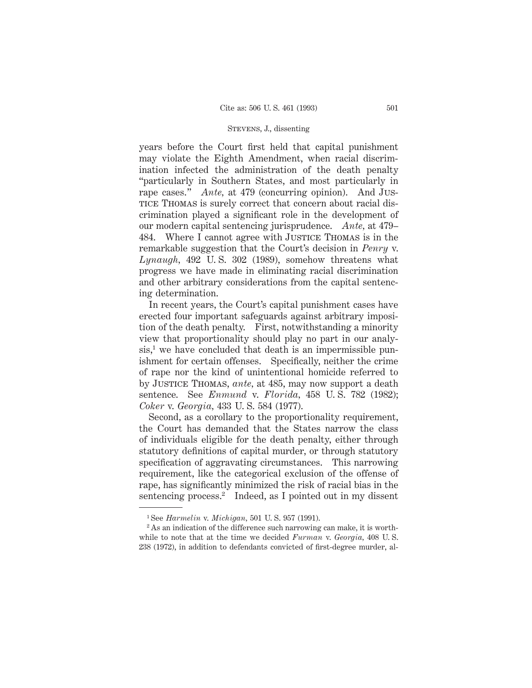years before the Court first held that capital punishment may violate the Eighth Amendment, when racial discrimination infected the administration of the death penalty "particularly in Southern States, and most particularly in rape cases." *Ante*, at 479 (concurring opinion). And Jus-TICE THOMAS is surely correct that concern about racial discrimination played a significant role in the development of our modern capital sentencing jurisprudence. *Ante,* at 479– 484. Where I cannot agree with JUSTICE THOMAS is in the remarkable suggestion that the Court's decision in *Penry* v. *Lynaugh,* 492 U. S. 302 (1989), somehow threatens what progress we have made in eliminating racial discrimination and other arbitrary considerations from the capital sentencing determination.

In recent years, the Court's capital punishment cases have erected four important safeguards against arbitrary imposition of the death penalty. First, notwithstanding a minority view that proportionality should play no part in our analy $sis<sup>1</sup>$ , we have concluded that death is an impermissible punishment for certain offenses. Specifically, neither the crime of rape nor the kind of unintentional homicide referred to by Justice Thomas, *ante,* at 485, may now support a death sentence. See *Enmund* v. *Florida,* 458 U. S. 782 (1982); *Coker* v. *Georgia,* 433 U. S. 584 (1977).

Second, as a corollary to the proportionality requirement, the Court has demanded that the States narrow the class of individuals eligible for the death penalty, either through statutory definitions of capital murder, or through statutory specification of aggravating circumstances. This narrowing requirement, like the categorical exclusion of the offense of rape, has significantly minimized the risk of racial bias in the sentencing process.<sup>2</sup> Indeed, as I pointed out in my dissent

<sup>1</sup> See *Harmelin* v. *Michigan,* 501 U. S. 957 (1991).

<sup>&</sup>lt;sup>2</sup> As an indication of the difference such narrowing can make, it is worthwhile to note that at the time we decided *Furman* v. *Georgia,* 408 U. S. 238 (1972), in addition to defendants convicted of first-degree murder, al-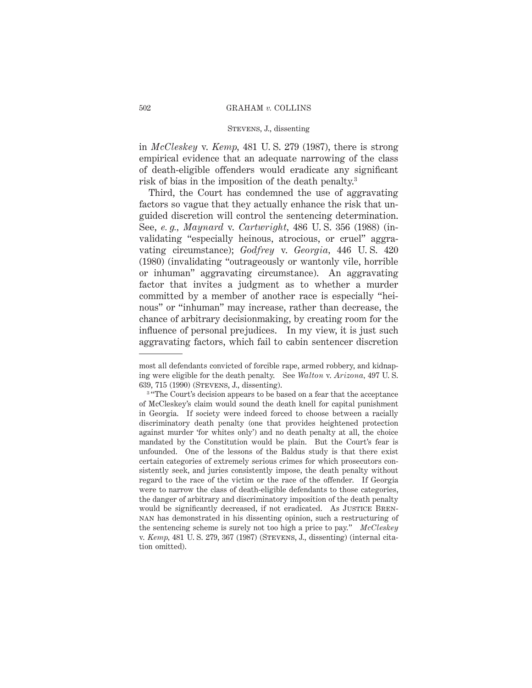in *McCleskey* v. *Kemp,* 481 U. S. 279 (1987), there is strong empirical evidence that an adequate narrowing of the class of death-eligible offenders would eradicate any significant risk of bias in the imposition of the death penalty.3

Third, the Court has condemned the use of aggravating factors so vague that they actually enhance the risk that unguided discretion will control the sentencing determination. See, *e. g., Maynard* v. *Cartwright,* 486 U. S. 356 (1988) (invalidating "especially heinous, atrocious, or cruel" aggravating circumstance); *Godfrey* v. *Georgia,* 446 U. S. 420 (1980) (invalidating "outrageously or wantonly vile, horrible or inhuman" aggravating circumstance). An aggravating factor that invites a judgment as to whether a murder committed by a member of another race is especially "heinous" or "inhuman" may increase, rather than decrease, the chance of arbitrary decisionmaking, by creating room for the influence of personal prejudices. In my view, it is just such aggravating factors, which fail to cabin sentencer discretion

most all defendants convicted of forcible rape, armed robbery, and kidnaping were eligible for the death penalty. See *Walton* v. *Arizona,* 497 U. S. 639, 715 (1990) (Stevens, J., dissenting).

<sup>&</sup>lt;sup>3</sup> "The Court's decision appears to be based on a fear that the acceptance of McCleskey's claim would sound the death knell for capital punishment in Georgia. If society were indeed forced to choose between a racially discriminatory death penalty (one that provides heightened protection against murder 'for whites only') and no death penalty at all, the choice mandated by the Constitution would be plain. But the Court's fear is unfounded. One of the lessons of the Baldus study is that there exist certain categories of extremely serious crimes for which prosecutors consistently seek, and juries consistently impose, the death penalty without regard to the race of the victim or the race of the offender. If Georgia were to narrow the class of death-eligible defendants to those categories, the danger of arbitrary and discriminatory imposition of the death penalty would be significantly decreased, if not eradicated. As JUSTICE BRENnan has demonstrated in his dissenting opinion, such a restructuring of the sentencing scheme is surely not too high a price to pay." *McCleskey* v. *Kemp,* 481 U. S. 279, 367 (1987) (Stevens, J., dissenting) (internal citation omitted).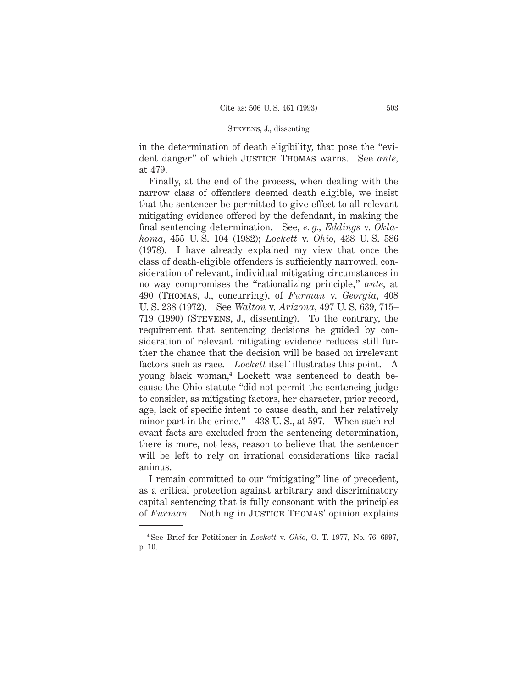in the determination of death eligibility, that pose the "evident danger" of which JUSTICE THOMAS warns. See *ante*, at 479.

Finally, at the end of the process, when dealing with the narrow class of offenders deemed death eligible, we insist that the sentencer be permitted to give effect to all relevant mitigating evidence offered by the defendant, in making the final sentencing determination. See, *e. g., Eddings* v. *Oklahoma,* 455 U. S. 104 (1982); *Lockett* v. *Ohio,* 438 U. S. 586 (1978). I have already explained my view that once the class of death-eligible offenders is sufficiently narrowed, consideration of relevant, individual mitigating circumstances in no way compromises the "rationalizing principle," *ante,* at 490 (Thomas, J., concurring), of *Furman* v. *Georgia,* 408 U. S. 238 (1972). See *Walton* v. *Arizona,* 497 U. S. 639, 715– 719 (1990) (Stevens, J., dissenting). To the contrary, the requirement that sentencing decisions be guided by consideration of relevant mitigating evidence reduces still further the chance that the decision will be based on irrelevant factors such as race. *Lockett* itself illustrates this point. A young black woman,4 Lockett was sentenced to death because the Ohio statute "did not permit the sentencing judge to consider, as mitigating factors, her character, prior record, age, lack of specific intent to cause death, and her relatively minor part in the crime." 438 U. S., at 597. When such relevant facts are excluded from the sentencing determination, there is more, not less, reason to believe that the sentencer will be left to rely on irrational considerations like racial animus.

I remain committed to our "mitigating" line of precedent, as a critical protection against arbitrary and discriminatory capital sentencing that is fully consonant with the principles of *Furman*. Nothing in JUSTICE THOMAS' opinion explains

<sup>4</sup> See Brief for Petitioner in *Lockett* v. *Ohio,* O. T. 1977, No. 76–6997, p. 10.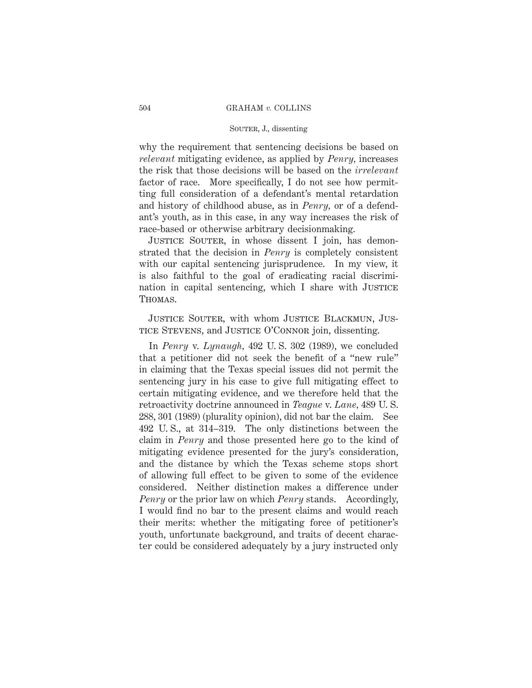### SOUTER, J., dissenting

why the requirement that sentencing decisions be based on *relevant* mitigating evidence, as applied by *Penry,* increases the risk that those decisions will be based on the *irrelevant* factor of race. More specifically, I do not see how permitting full consideration of a defendant's mental retardation and history of childhood abuse, as in *Penry,* or of a defendant's youth, as in this case, in any way increases the risk of race-based or otherwise arbitrary decisionmaking.

JUSTICE SOUTER, in whose dissent I join, has demonstrated that the decision in *Penry* is completely consistent with our capital sentencing jurisprudence. In my view, it is also faithful to the goal of eradicating racial discrimination in capital sentencing, which I share with JUSTICE Thomas.

Justice Souter, with whom Justice Blackmun, Justice Stevens, and Justice O'Connor join, dissenting.

In *Penry* v. *Lynaugh,* 492 U. S. 302 (1989), we concluded that a petitioner did not seek the benefit of a "new rule" in claiming that the Texas special issues did not permit the sentencing jury in his case to give full mitigating effect to certain mitigating evidence, and we therefore held that the retroactivity doctrine announced in *Teague* v. *Lane,* 489 U. S. 288, 301 (1989) (plurality opinion), did not bar the claim. See 492 U. S., at 314–319. The only distinctions between the claim in *Penry* and those presented here go to the kind of mitigating evidence presented for the jury's consideration, and the distance by which the Texas scheme stops short of allowing full effect to be given to some of the evidence considered. Neither distinction makes a difference under *Penry* or the prior law on which *Penry* stands. Accordingly, I would find no bar to the present claims and would reach their merits: whether the mitigating force of petitioner's youth, unfortunate background, and traits of decent character could be considered adequately by a jury instructed only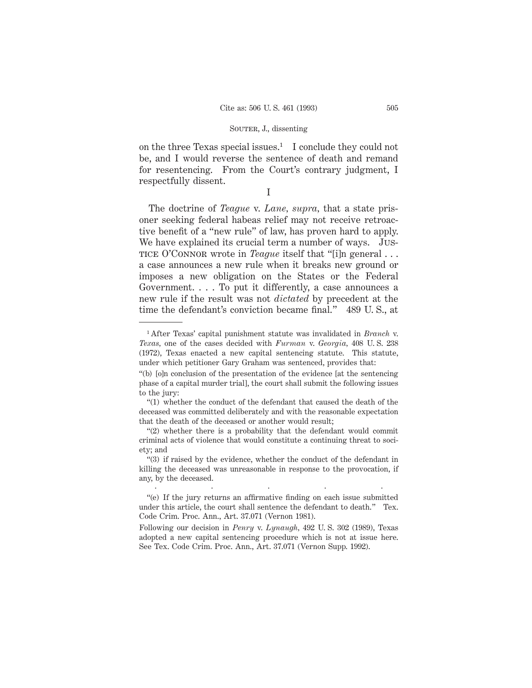on the three Texas special issues.<sup>1</sup> I conclude they could not be, and I would reverse the sentence of death and remand for resentencing. From the Court's contrary judgment, I respectfully dissent.

I

The doctrine of *Teague* v. *Lane, supra,* that a state prisoner seeking federal habeas relief may not receive retroactive benefit of a "new rule" of law, has proven hard to apply. We have explained its crucial term a number of ways. Justice O'Connor wrote in *Teague* itself that "[i]n general . . . a case announces a new rule when it breaks new ground or imposes a new obligation on the States or the Federal Government. . . . To put it differently, a case announces a new rule if the result was not *dictated* by precedent at the time the defendant's conviction became final." 489 U. S., at

.....

<sup>1</sup> After Texas' capital punishment statute was invalidated in *Branch* v. *Texas,* one of the cases decided with *Furman* v. *Georgia,* 408 U. S. 238 (1972), Texas enacted a new capital sentencing statute. This statute, under which petitioner Gary Graham was sentenced, provides that:

<sup>&</sup>quot;(b) [o]n conclusion of the presentation of the evidence [at the sentencing phase of a capital murder trial], the court shall submit the following issues to the jury:

<sup>&</sup>quot;(1) whether the conduct of the defendant that caused the death of the deceased was committed deliberately and with the reasonable expectation that the death of the deceased or another would result;

<sup>&</sup>quot;(2) whether there is a probability that the defendant would commit criminal acts of violence that would constitute a continuing threat to society; and

<sup>&</sup>quot;(3) if raised by the evidence, whether the conduct of the defendant in killing the deceased was unreasonable in response to the provocation, if any, by the deceased.

<sup>&</sup>quot;(e) If the jury returns an affirmative finding on each issue submitted under this article, the court shall sentence the defendant to death." Tex. Code Crim. Proc. Ann., Art. 37.071 (Vernon 1981).

Following our decision in *Penry* v. *Lynaugh,* 492 U. S. 302 (1989), Texas adopted a new capital sentencing procedure which is not at issue here. See Tex. Code Crim. Proc. Ann., Art. 37.071 (Vernon Supp. 1992).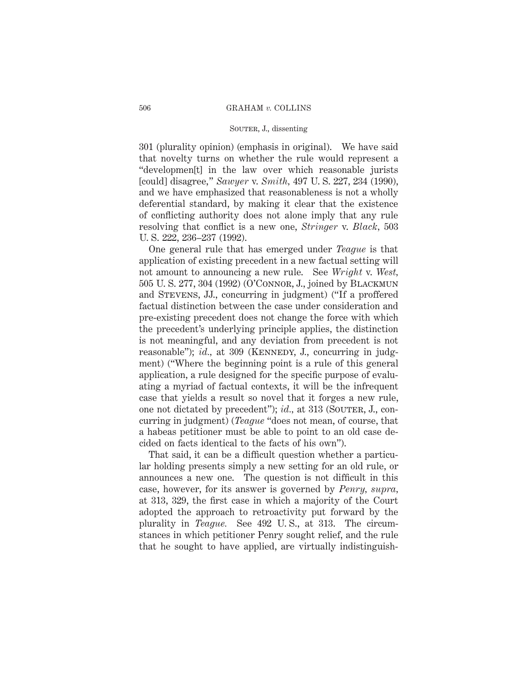301 (plurality opinion) (emphasis in original). We have said that novelty turns on whether the rule would represent a "developmen[t] in the law over which reasonable jurists [could] disagree," *Sawyer* v. *Smith,* 497 U. S. 227, 234 (1990), and we have emphasized that reasonableness is not a wholly deferential standard, by making it clear that the existence of conflicting authority does not alone imply that any rule resolving that conflict is a new one, *Stringer* v. *Black,* 503 U. S. 222, 236–237 (1992).

One general rule that has emerged under *Teague* is that application of existing precedent in a new factual setting will not amount to announcing a new rule. See *Wright* v. *West,* 505 U. S. 277, 304 (1992) (O'Connor, J., joined by Blackmun and Stevens, JJ., concurring in judgment) ("If a proffered factual distinction between the case under consideration and pre-existing precedent does not change the force with which the precedent's underlying principle applies, the distinction is not meaningful, and any deviation from precedent is not reasonable"); *id.*, at 309 (KENNEDY, J., concurring in judgment) ("Where the beginning point is a rule of this general application, a rule designed for the specific purpose of evaluating a myriad of factual contexts, it will be the infrequent case that yields a result so novel that it forges a new rule, one not dictated by precedent"); *id.*, at 313 (SOUTER, J., concurring in judgment) (*Teague* "does not mean, of course, that a habeas petitioner must be able to point to an old case decided on facts identical to the facts of his own").

That said, it can be a difficult question whether a particular holding presents simply a new setting for an old rule, or announces a new one. The question is not difficult in this case, however, for its answer is governed by *Penry, supra,* at 313, 329, the first case in which a majority of the Court adopted the approach to retroactivity put forward by the plurality in *Teague.* See 492 U. S., at 313. The circumstances in which petitioner Penry sought relief, and the rule that he sought to have applied, are virtually indistinguish-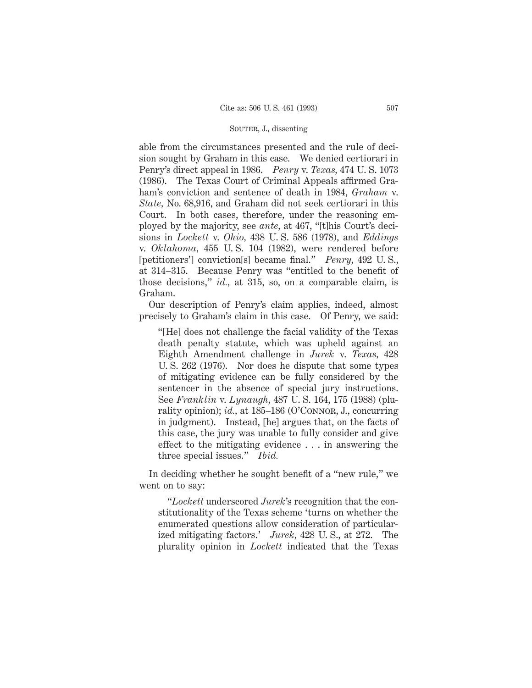able from the circumstances presented and the rule of decision sought by Graham in this case. We denied certiorari in Penry's direct appeal in 1986. *Penry* v. *Texas,* 474 U. S. 1073 (1986). The Texas Court of Criminal Appeals affirmed Graham's conviction and sentence of death in 1984, *Graham* v. *State,* No. 68,916, and Graham did not seek certiorari in this Court. In both cases, therefore, under the reasoning employed by the majority, see *ante,* at 467, "[t]his Court's decisions in *Lockett* v. *Ohio,* 438 U. S. 586 (1978), and *Eddings* v. *Oklahoma,* 455 U. S. 104 (1982), were rendered before [petitioners'] conviction[s] became final." *Penry,* 492 U. S., at 314–315. Because Penry was "entitled to the benefit of those decisions," *id.,* at 315, so, on a comparable claim, is Graham.

Our description of Penry's claim applies, indeed, almost precisely to Graham's claim in this case. Of Penry, we said:

"[He] does not challenge the facial validity of the Texas death penalty statute, which was upheld against an Eighth Amendment challenge in *Jurek* v. *Texas,* 428 U. S. 262 (1976). Nor does he dispute that some types of mitigating evidence can be fully considered by the sentencer in the absence of special jury instructions. See *Franklin* v. *Lynaugh,* 487 U. S. 164, 175 (1988) (plurality opinion); *id.*, at 185-186 (O'CONNOR, J., concurring in judgment). Instead, [he] argues that, on the facts of this case, the jury was unable to fully consider and give effect to the mitigating evidence . . . in answering the three special issues." *Ibid.*

In deciding whether he sought benefit of a "new rule," we went on to say:

"*Lockett* underscored *Jurek*'s recognition that the constitutionality of the Texas scheme 'turns on whether the enumerated questions allow consideration of particularized mitigating factors.' *Jurek,* 428 U. S., at 272. The plurality opinion in *Lockett* indicated that the Texas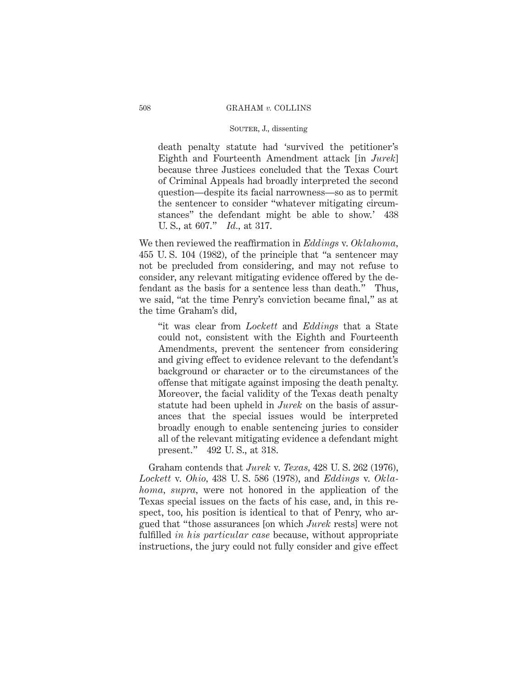death penalty statute had 'survived the petitioner's Eighth and Fourteenth Amendment attack [in *Jurek*] because three Justices concluded that the Texas Court of Criminal Appeals had broadly interpreted the second question—despite its facial narrowness—so as to permit the sentencer to consider "whatever mitigating circumstances" the defendant might be able to show.' 438 U. S., at 607." *Id.,* at 317.

We then reviewed the reaffirmation in *Eddings* v. *Oklahoma,* 455 U. S. 104 (1982), of the principle that "a sentencer may not be precluded from considering, and may not refuse to consider, any relevant mitigating evidence offered by the defendant as the basis for a sentence less than death." Thus, we said, "at the time Penry's conviction became final," as at the time Graham's did,

"it was clear from *Lockett* and *Eddings* that a State could not, consistent with the Eighth and Fourteenth Amendments, prevent the sentencer from considering and giving effect to evidence relevant to the defendant's background or character or to the circumstances of the offense that mitigate against imposing the death penalty. Moreover, the facial validity of the Texas death penalty statute had been upheld in *Jurek* on the basis of assurances that the special issues would be interpreted broadly enough to enable sentencing juries to consider all of the relevant mitigating evidence a defendant might present." 492 U. S., at 318.

Graham contends that *Jurek* v. *Texas,* 428 U. S. 262 (1976), *Lockett* v. *Ohio,* 438 U. S. 586 (1978), and *Eddings* v. *Oklahoma, supra,* were not honored in the application of the Texas special issues on the facts of his case, and, in this respect, too, his position is identical to that of Penry, who argued that "those assurances [on which *Jurek* rests] were not fulfilled *in his particular case* because, without appropriate instructions, the jury could not fully consider and give effect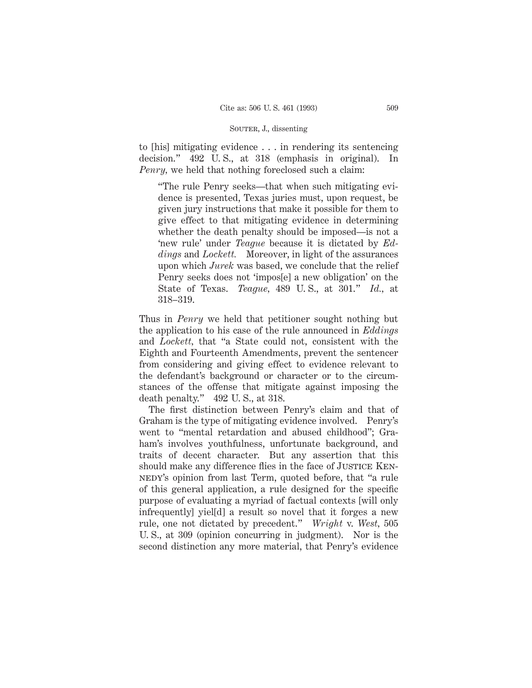to [his] mitigating evidence . . . in rendering its sentencing decision." 492 U. S., at 318 (emphasis in original). In *Penry,* we held that nothing foreclosed such a claim:

"The rule Penry seeks—that when such mitigating evidence is presented, Texas juries must, upon request, be given jury instructions that make it possible for them to give effect to that mitigating evidence in determining whether the death penalty should be imposed—is not a 'new rule' under *Teague* because it is dictated by *Eddings* and *Lockett.* Moreover, in light of the assurances upon which *Jurek* was based, we conclude that the relief Penry seeks does not 'impos[e] a new obligation' on the State of Texas. *Teague,* 489 U. S., at 301." *Id.,* at 318–319.

Thus in *Penry* we held that petitioner sought nothing but the application to his case of the rule announced in *Eddings* and *Lockett,* that "a State could not, consistent with the Eighth and Fourteenth Amendments, prevent the sentencer from considering and giving effect to evidence relevant to the defendant's background or character or to the circumstances of the offense that mitigate against imposing the death penalty." 492 U. S., at 318.

The first distinction between Penry's claim and that of Graham is the type of mitigating evidence involved. Penry's went to "mental retardation and abused childhood"; Graham's involves youthfulness, unfortunate background, and traits of decent character. But any assertion that this should make any difference flies in the face of JUSTICE KENnedy's opinion from last Term, quoted before, that "a rule of this general application, a rule designed for the specific purpose of evaluating a myriad of factual contexts [will only infrequently] yiel[d] a result so novel that it forges a new rule, one not dictated by precedent." *Wright* v. *West,* 505 U. S., at 309 (opinion concurring in judgment). Nor is the second distinction any more material, that Penry's evidence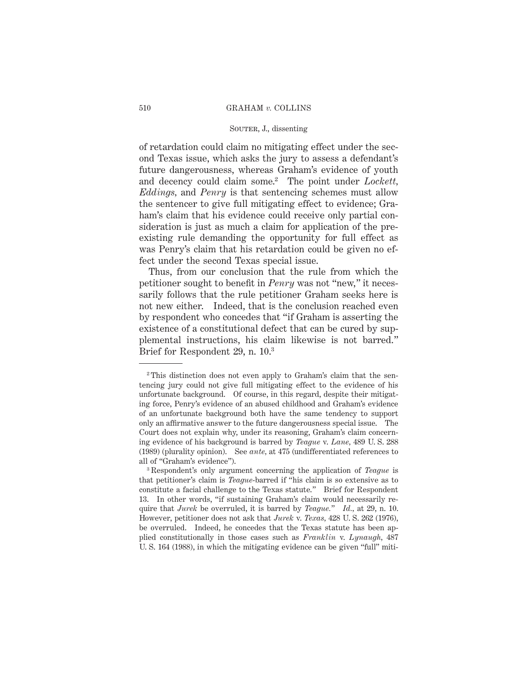## SOUTER, J., dissenting

of retardation could claim no mitigating effect under the second Texas issue, which asks the jury to assess a defendant's future dangerousness, whereas Graham's evidence of youth and decency could claim some.2 The point under *Lockett, Eddings,* and *Penry* is that sentencing schemes must allow the sentencer to give full mitigating effect to evidence; Graham's claim that his evidence could receive only partial consideration is just as much a claim for application of the preexisting rule demanding the opportunity for full effect as was Penry's claim that his retardation could be given no effect under the second Texas special issue.

Thus, from our conclusion that the rule from which the petitioner sought to benefit in *Penry* was not "new," it necessarily follows that the rule petitioner Graham seeks here is not new either. Indeed, that is the conclusion reached even by respondent who concedes that "if Graham is asserting the existence of a constitutional defect that can be cured by supplemental instructions, his claim likewise is not barred." Brief for Respondent 29, n. 10.3

<sup>2</sup> This distinction does not even apply to Graham's claim that the sentencing jury could not give full mitigating effect to the evidence of his unfortunate background. Of course, in this regard, despite their mitigating force, Penry's evidence of an abused childhood and Graham's evidence of an unfortunate background both have the same tendency to support only an affirmative answer to the future dangerousness special issue. The Court does not explain why, under its reasoning, Graham's claim concerning evidence of his background is barred by *Teague* v. *Lane,* 489 U. S. 288 (1989) (plurality opinion). See *ante,* at 475 (undifferentiated references to all of "Graham's evidence").

<sup>3</sup> Respondent's only argument concerning the application of *Teague* is that petitioner's claim is *Teague*-barred if "his claim is so extensive as to constitute a facial challenge to the Texas statute." Brief for Respondent 13. In other words, "if sustaining Graham's claim would necessarily require that *Jurek* be overruled, it is barred by *Teague.*" *Id.,* at 29, n. 10. However, petitioner does not ask that *Jurek* v. *Texas,* 428 U. S. 262 (1976), be overruled. Indeed, he concedes that the Texas statute has been applied constitutionally in those cases such as *Franklin* v. *Lynaugh,* 487 U. S. 164 (1988), in which the mitigating evidence can be given "full" miti-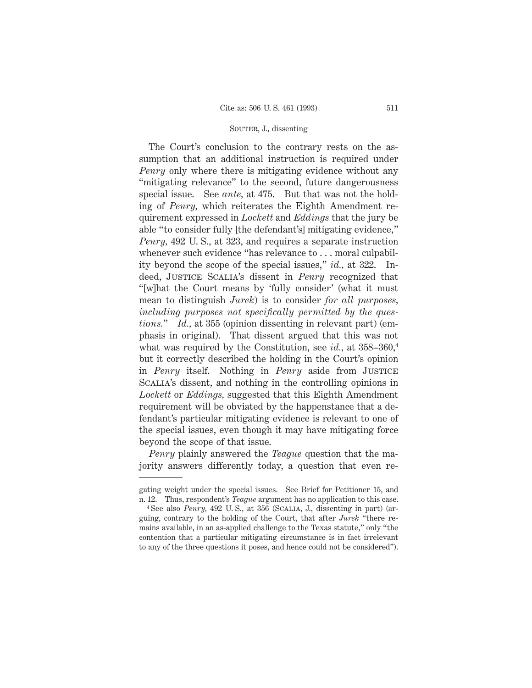The Court's conclusion to the contrary rests on the assumption that an additional instruction is required under *Penry* only where there is mitigating evidence without any "mitigating relevance" to the second, future dangerousness special issue. See *ante,* at 475. But that was not the holding of *Penry,* which reiterates the Eighth Amendment requirement expressed in *Lockett* and *Eddings* that the jury be able "to consider fully [the defendant's] mitigating evidence," *Penry,* 492 U. S., at 323, and requires a separate instruction whenever such evidence "has relevance to . . . moral culpability beyond the scope of the special issues," *id.,* at 322. Indeed, Justice Scalia's dissent in *Penry* recognized that "[w]hat the Court means by 'fully consider' (what it must mean to distinguish *Jurek*) is to consider *for all purposes, including purposes not specifically permitted by the questions.*" *Id.,* at 355 (opinion dissenting in relevant part) (emphasis in original). That dissent argued that this was not what was required by the Constitution, see *id.*, at  $358-360$ <sup>4</sup>, but it correctly described the holding in the Court's opinion in *Penry* itself. Nothing in *Penry* aside from Justice Scalia's dissent, and nothing in the controlling opinions in *Lockett* or *Eddings,* suggested that this Eighth Amendment requirement will be obviated by the happenstance that a defendant's particular mitigating evidence is relevant to one of the special issues, even though it may have mitigating force beyond the scope of that issue.

*Penry* plainly answered the *Teague* question that the majority answers differently today, a question that even re-

gating weight under the special issues. See Brief for Petitioner 15, and n. 12. Thus, respondent's *Teague* argument has no application to this case.

<sup>4</sup> See also *Penry,* 492 U. S., at 356 (Scalia, J., dissenting in part) (arguing, contrary to the holding of the Court, that after *Jurek* "there remains available, in an as-applied challenge to the Texas statute," only "the contention that a particular mitigating circumstance is in fact irrelevant to any of the three questions it poses, and hence could not be considered").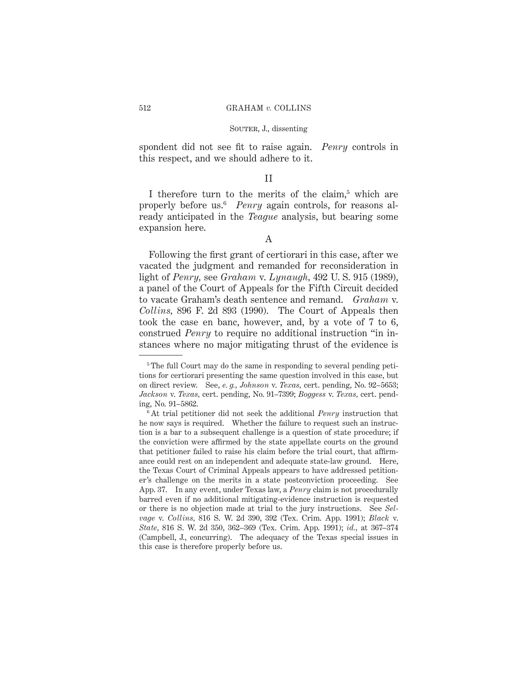spondent did not see fit to raise again. *Penry* controls in this respect, and we should adhere to it.

## II

I therefore turn to the merits of the claim,<sup>5</sup> which are properly before us.6 *Penry* again controls, for reasons already anticipated in the *Teague* analysis, but bearing some expansion here.

A

Following the first grant of certiorari in this case, after we vacated the judgment and remanded for reconsideration in light of *Penry,* see *Graham* v. *Lynaugh,* 492 U. S. 915 (1989), a panel of the Court of Appeals for the Fifth Circuit decided to vacate Graham's death sentence and remand. *Graham* v. *Collins,* 896 F. 2d 893 (1990). The Court of Appeals then took the case en banc, however, and, by a vote of 7 to 6, construed *Penry* to require no additional instruction "in instances where no major mitigating thrust of the evidence is

<sup>&</sup>lt;sup>5</sup> The full Court may do the same in responding to several pending petitions for certiorari presenting the same question involved in this case, but on direct review. See, *e. g., Johnson* v. *Texas,* cert. pending, No. 92–5653; *Jackson* v. *Texas,* cert. pending, No. 91–7399; *Boggess* v. *Texas,* cert. pending, No. 91–5862.

<sup>6</sup> At trial petitioner did not seek the additional *Penry* instruction that he now says is required. Whether the failure to request such an instruction is a bar to a subsequent challenge is a question of state procedure; if the conviction were affirmed by the state appellate courts on the ground that petitioner failed to raise his claim before the trial court, that affirmance could rest on an independent and adequate state-law ground. Here, the Texas Court of Criminal Appeals appears to have addressed petitioner's challenge on the merits in a state postconviction proceeding. See App. 37. In any event, under Texas law, a *Penry* claim is not procedurally barred even if no additional mitigating-evidence instruction is requested or there is no objection made at trial to the jury instructions. See *Selvage* v. *Collins,* 816 S. W. 2d 390, 392 (Tex. Crim. App. 1991); *Black* v. *State,* 816 S. W. 2d 350, 362–369 (Tex. Crim. App. 1991); *id.,* at 367–374 (Campbell, J., concurring). The adequacy of the Texas special issues in this case is therefore properly before us.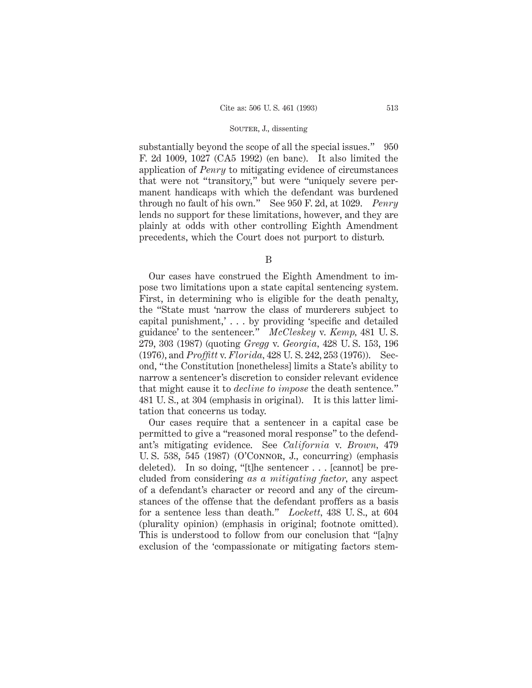substantially beyond the scope of all the special issues." 950 F. 2d 1009, 1027 (CA5 1992) (en banc). It also limited the application of *Penry* to mitigating evidence of circumstances that were not "transitory," but were "uniquely severe permanent handicaps with which the defendant was burdened through no fault of his own." See 950 F. 2d, at 1029. *Penry* lends no support for these limitations, however, and they are plainly at odds with other controlling Eighth Amendment precedents, which the Court does not purport to disturb.

B

Our cases have construed the Eighth Amendment to impose two limitations upon a state capital sentencing system. First, in determining who is eligible for the death penalty, the "State must 'narrow the class of murderers subject to capital punishment,' . . . by providing 'specific and detailed guidance' to the sentencer." *McCleskey* v. *Kemp,* 481 U. S. 279, 303 (1987) (quoting *Gregg* v. *Georgia,* 428 U. S. 153, 196 (1976), and *Proffitt* v. *Florida,* 428 U. S. 242, 253 (1976)). Second, "the Constitution [nonetheless] limits a State's ability to narrow a sentencer's discretion to consider relevant evidence that might cause it to *decline to impose* the death sentence." 481 U. S., at 304 (emphasis in original). It is this latter limitation that concerns us today.

Our cases require that a sentencer in a capital case be permitted to give a "reasoned moral response" to the defendant's mitigating evidence. See *California* v. *Brown,* 479 U. S. 538, 545 (1987) (O'Connor, J., concurring) (emphasis deleted). In so doing, "[t]he sentencer . . . [cannot] be precluded from considering *as a mitigating factor,* any aspect of a defendant's character or record and any of the circumstances of the offense that the defendant proffers as a basis for a sentence less than death." *Lockett,* 438 U. S., at 604 (plurality opinion) (emphasis in original; footnote omitted). This is understood to follow from our conclusion that "[a]ny exclusion of the 'compassionate or mitigating factors stem-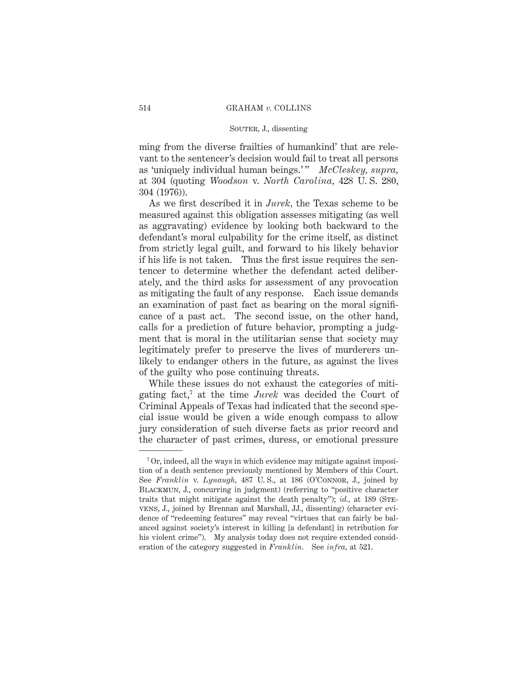ming from the diverse frailties of humankind' that are relevant to the sentencer's decision would fail to treat all persons as 'uniquely individual human beings.'" McCleskey, supra, at 304 (quoting *Woodson* v. *North Carolina,* 428 U. S. 280, 304 (1976)).

As we first described it in *Jurek,* the Texas scheme to be measured against this obligation assesses mitigating (as well as aggravating) evidence by looking both backward to the defendant's moral culpability for the crime itself, as distinct from strictly legal guilt, and forward to his likely behavior if his life is not taken. Thus the first issue requires the sentencer to determine whether the defendant acted deliberately, and the third asks for assessment of any provocation as mitigating the fault of any response. Each issue demands an examination of past fact as bearing on the moral significance of a past act. The second issue, on the other hand, calls for a prediction of future behavior, prompting a judgment that is moral in the utilitarian sense that society may legitimately prefer to preserve the lives of murderers unlikely to endanger others in the future, as against the lives of the guilty who pose continuing threats.

While these issues do not exhaust the categories of mitigating fact,7 at the time *Jurek* was decided the Court of Criminal Appeals of Texas had indicated that the second special issue would be given a wide enough compass to allow jury consideration of such diverse facts as prior record and the character of past crimes, duress, or emotional pressure

<sup>7</sup> Or, indeed, all the ways in which evidence may mitigate against imposition of a death sentence previously mentioned by Members of this Court. See *Franklin* v. *Lynaugh,* 487 U. S., at 186 (O'Connor, J., joined by Blackmun, J., concurring in judgment) (referring to "positive character traits that might mitigate against the death penalty"); *id.*, at 189 (STEvens, J., joined by Brennan and Marshall, JJ., dissenting) (character evidence of "redeeming features" may reveal "virtues that can fairly be balanced against society's interest in killing [a defendant] in retribution for his violent crime"). My analysis today does not require extended consideration of the category suggested in *Franklin.* See *infra,* at 521.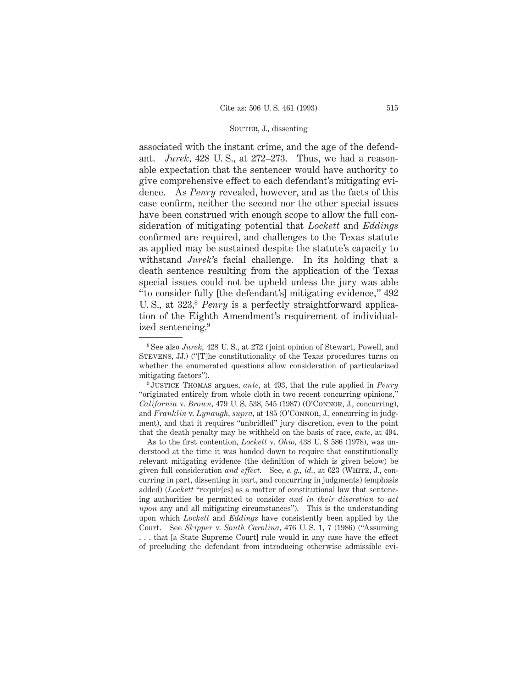associated with the instant crime, and the age of the defendant. *Jurek,* 428 U. S., at 272–273. Thus, we had a reasonable expectation that the sentencer would have authority to give comprehensive effect to each defendant's mitigating evidence. As *Penry* revealed, however, and as the facts of this case confirm, neither the second nor the other special issues have been construed with enough scope to allow the full consideration of mitigating potential that *Lockett* and *Eddings* confirmed are required, and challenges to the Texas statute as applied may be sustained despite the statute's capacity to withstand *Jurek*'s facial challenge. In its holding that a death sentence resulting from the application of the Texas special issues could not be upheld unless the jury was able "to consider fully [the defendant's] mitigating evidence," 492 U. S., at 323,<sup>8</sup> *Penry* is a perfectly straightforward application of the Eighth Amendment's requirement of individualized sentencing.9

As to the first contention, *Lockett* v. *Ohio,* 438 U. S 586 (1978), was understood at the time it was handed down to require that constitutionally relevant mitigating evidence (the definition of which is given below) be given full consideration *and effect.* See, *e. g., id.,* at 623 (White, J., concurring in part, dissenting in part, and concurring in judgments) (emphasis added) (*Lockett* "requir[es] as a matter of constitutional law that sentencing authorities be permitted to consider *and in their discretion to act upon* any and all mitigating circumstances"). This is the understanding upon which *Lockett* and *Eddings* have consistently been applied by the Court. See *Skipper* v. *South Carolina,* 476 U. S. 1, 7 (1986) ("Assuming . . . that [a State Supreme Court] rule would in any case have the effect of precluding the defendant from introducing otherwise admissible evi-

<sup>8</sup> See also *Jurek,* 428 U. S., at 272 (joint opinion of Stewart, Powell, and Stevens, JJ.) ("[T]he constitutionality of the Texas procedures turns on whether the enumerated questions allow consideration of particularized mitigating factors").

<sup>9</sup> Justice Thomas argues, *ante,* at 493, that the rule applied in *Penry* "originated entirely from whole cloth in two recent concurring opinions," *California* v. *Brown,* 479 U. S. 538, 545 (1987) (O'Connor, J., concurring), and *Franklin* v. *Lynaugh, supra,* at 185 (O'Connor, J., concurring in judgment), and that it requires "unbridled" jury discretion, even to the point that the death penalty may be withheld on the basis of race, *ante,* at 494.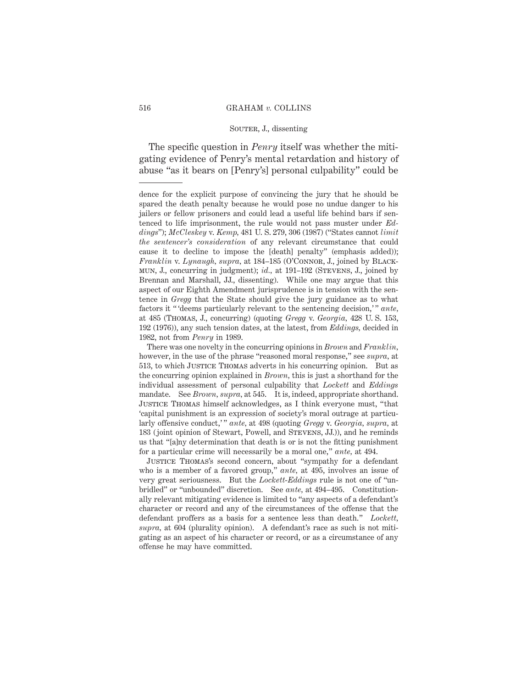### SOUTER, J., dissenting

The specific question in *Penry* itself was whether the mitigating evidence of Penry's mental retardation and history of abuse "as it bears on [Penry's] personal culpability" could be

Justice Thomas's second concern, about "sympathy for a defendant who is a member of a favored group," *ante,* at 495, involves an issue of very great seriousness. But the *Lockett*-*Eddings* rule is not one of "unbridled" or "unbounded" discretion. See *ante,* at 494–495. Constitutionally relevant mitigating evidence is limited to "any aspects of a defendant's character or record and any of the circumstances of the offense that the defendant proffers as a basis for a sentence less than death." *Lockett, supra,* at 604 (plurality opinion). A defendant's race as such is not mitigating as an aspect of his character or record, or as a circumstance of any offense he may have committed.

dence for the explicit purpose of convincing the jury that he should be spared the death penalty because he would pose no undue danger to his jailers or fellow prisoners and could lead a useful life behind bars if sentenced to life imprisonment, the rule would not pass muster under *Eddings*"); *McCleskey* v. *Kemp,* 481 U. S. 279, 306 (1987) ("States cannot *limit the sentencer's consideration* of any relevant circumstance that could cause it to decline to impose the [death] penalty" (emphasis added)); *Franklin* v. *Lynaugh, supra,* at 184–185 (O'CONNOR, J., joined by BLACKmun, J., concurring in judgment); *id.,* at 191–192 (Stevens, J., joined by Brennan and Marshall, JJ., dissenting). While one may argue that this aspect of our Eighth Amendment jurisprudence is in tension with the sentence in *Gregg* that the State should give the jury guidance as to what factors it " 'deems particularly relevant to the sentencing decision,' " *ante,* at 485 (Thomas, J., concurring) (quoting *Gregg* v. *Georgia,* 428 U. S. 153, 192 (1976)), any such tension dates, at the latest, from *Eddings,* decided in 1982, not from *Penry* in 1989.

There was one novelty in the concurring opinions in *Brown* and *Franklin,* however, in the use of the phrase "reasoned moral response," see *supra,* at 513, to which Justice Thomas adverts in his concurring opinion. But as the concurring opinion explained in *Brown,* this is just a shorthand for the individual assessment of personal culpability that *Lockett* and *Eddings* mandate. See *Brown, supra,* at 545. It is, indeed, appropriate shorthand. Justice Thomas himself acknowledges, as I think everyone must, "that 'capital punishment is an expression of society's moral outrage at particularly offensive conduct,' " *ante,* at 498 (quoting *Gregg* v. *Georgia, supra,* at 183 (joint opinion of Stewart, Powell, and Stevens, JJ.)), and he reminds us that "[a]ny determination that death is or is not the fitting punishment for a particular crime will necessarily be a moral one," *ante,* at 494.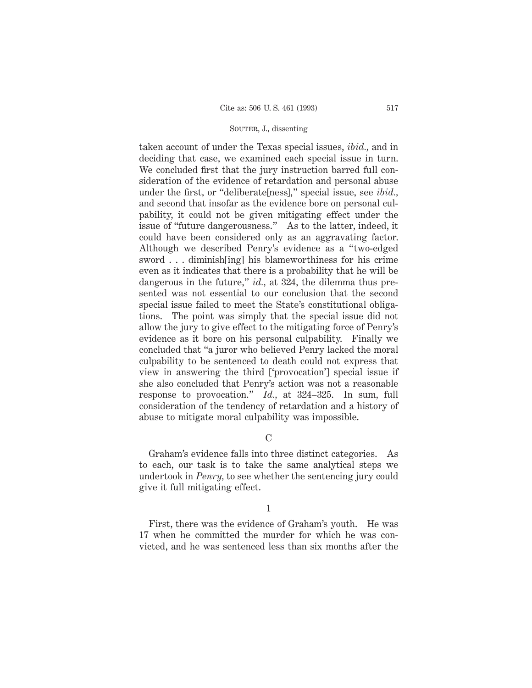taken account of under the Texas special issues, *ibid.,* and in deciding that case, we examined each special issue in turn. We concluded first that the jury instruction barred full consideration of the evidence of retardation and personal abuse under the first, or "deliberate[ness]," special issue, see *ibid.,* and second that insofar as the evidence bore on personal culpability, it could not be given mitigating effect under the issue of "future dangerousness." As to the latter, indeed, it could have been considered only as an aggravating factor. Although we described Penry's evidence as a "two-edged sword . . . diminish[ing] his blameworthiness for his crime even as it indicates that there is a probability that he will be dangerous in the future," *id.,* at 324, the dilemma thus presented was not essential to our conclusion that the second special issue failed to meet the State's constitutional obligations. The point was simply that the special issue did not allow the jury to give effect to the mitigating force of Penry's evidence as it bore on his personal culpability. Finally we concluded that "a juror who believed Penry lacked the moral culpability to be sentenced to death could not express that view in answering the third ['provocation'] special issue if she also concluded that Penry's action was not a reasonable response to provocation." *Id.,* at 324–325. In sum, full consideration of the tendency of retardation and a history of abuse to mitigate moral culpability was impossible.

# $\mathcal{C}$

Graham's evidence falls into three distinct categories. As to each, our task is to take the same analytical steps we undertook in *Penry,* to see whether the sentencing jury could give it full mitigating effect.

#### 1

First, there was the evidence of Graham's youth. He was 17 when he committed the murder for which he was convicted, and he was sentenced less than six months after the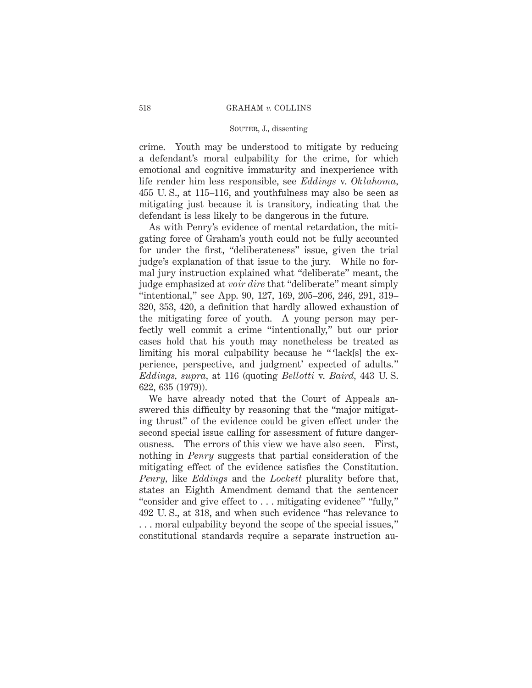crime. Youth may be understood to mitigate by reducing a defendant's moral culpability for the crime, for which emotional and cognitive immaturity and inexperience with life render him less responsible, see *Eddings* v. *Oklahoma,* 455 U. S., at 115–116, and youthfulness may also be seen as mitigating just because it is transitory, indicating that the defendant is less likely to be dangerous in the future.

As with Penry's evidence of mental retardation, the mitigating force of Graham's youth could not be fully accounted for under the first, "deliberateness" issue, given the trial judge's explanation of that issue to the jury. While no formal jury instruction explained what "deliberate" meant, the judge emphasized at *voir dire* that "deliberate" meant simply "intentional," see App. 90, 127, 169, 205–206, 246, 291, 319– 320, 353, 420, a definition that hardly allowed exhaustion of the mitigating force of youth. A young person may perfectly well commit a crime "intentionally," but our prior cases hold that his youth may nonetheless be treated as limiting his moral culpability because he "'lack[s] the experience, perspective, and judgment' expected of adults." *Eddings, supra,* at 116 (quoting *Bellotti* v. *Baird,* 443 U. S. 622, 635 (1979)).

We have already noted that the Court of Appeals answered this difficulty by reasoning that the "major mitigating thrust" of the evidence could be given effect under the second special issue calling for assessment of future dangerousness. The errors of this view we have also seen. First, nothing in *Penry* suggests that partial consideration of the mitigating effect of the evidence satisfies the Constitution. *Penry,* like *Eddings* and the *Lockett* plurality before that, states an Eighth Amendment demand that the sentencer "consider and give effect to . . . mitigating evidence" "fully," 492 U. S., at 318, and when such evidence "has relevance to . . . moral culpability beyond the scope of the special issues," constitutional standards require a separate instruction au-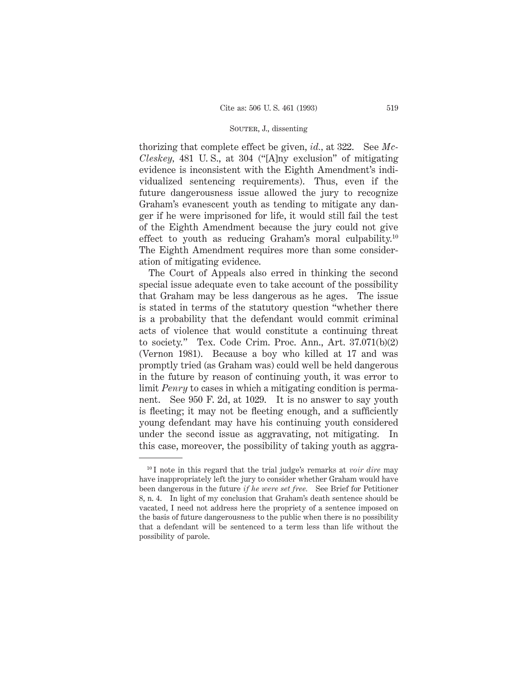thorizing that complete effect be given, *id.,* at 322. See *Mc-Cleskey,* 481 U. S., at 304 ("[A]ny exclusion" of mitigating evidence is inconsistent with the Eighth Amendment's individualized sentencing requirements). Thus, even if the future dangerousness issue allowed the jury to recognize Graham's evanescent youth as tending to mitigate any danger if he were imprisoned for life, it would still fail the test of the Eighth Amendment because the jury could not give effect to youth as reducing Graham's moral culpability.10 The Eighth Amendment requires more than some consideration of mitigating evidence.

The Court of Appeals also erred in thinking the second special issue adequate even to take account of the possibility that Graham may be less dangerous as he ages. The issue is stated in terms of the statutory question "whether there is a probability that the defendant would commit criminal acts of violence that would constitute a continuing threat to society." Tex. Code Crim. Proc. Ann., Art. 37.071(b)(2) (Vernon 1981). Because a boy who killed at 17 and was promptly tried (as Graham was) could well be held dangerous in the future by reason of continuing youth, it was error to limit *Penry* to cases in which a mitigating condition is permanent. See 950 F. 2d, at 1029. It is no answer to say youth is fleeting; it may not be fleeting enough, and a sufficiently young defendant may have his continuing youth considered under the second issue as aggravating, not mitigating. In this case, moreover, the possibility of taking youth as aggra-

<sup>10</sup> I note in this regard that the trial judge's remarks at *voir dire* may have inappropriately left the jury to consider whether Graham would have been dangerous in the future *if he were set free.* See Brief for Petitioner 8, n. 4. In light of my conclusion that Graham's death sentence should be vacated, I need not address here the propriety of a sentence imposed on the basis of future dangerousness to the public when there is no possibility that a defendant will be sentenced to a term less than life without the possibility of parole.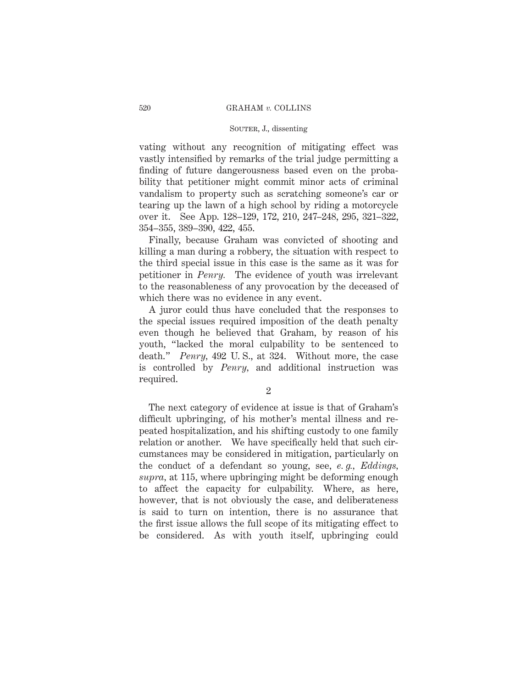## SOUTER, J., dissenting

vating without any recognition of mitigating effect was vastly intensified by remarks of the trial judge permitting a finding of future dangerousness based even on the probability that petitioner might commit minor acts of criminal vandalism to property such as scratching someone's car or tearing up the lawn of a high school by riding a motorcycle over it. See App. 128–129, 172, 210, 247–248, 295, 321–322, 354–355, 389–390, 422, 455.

Finally, because Graham was convicted of shooting and killing a man during a robbery, the situation with respect to the third special issue in this case is the same as it was for petitioner in *Penry.* The evidence of youth was irrelevant to the reasonableness of any provocation by the deceased of which there was no evidence in any event.

A juror could thus have concluded that the responses to the special issues required imposition of the death penalty even though he believed that Graham, by reason of his youth, "lacked the moral culpability to be sentenced to death." *Penry,* 492 U. S., at 324. Without more, the case is controlled by *Penry,* and additional instruction was required.

2

The next category of evidence at issue is that of Graham's difficult upbringing, of his mother's mental illness and repeated hospitalization, and his shifting custody to one family relation or another. We have specifically held that such circumstances may be considered in mitigation, particularly on the conduct of a defendant so young, see, *e. g., Eddings, supra,* at 115, where upbringing might be deforming enough to affect the capacity for culpability. Where, as here, however, that is not obviously the case, and deliberateness is said to turn on intention, there is no assurance that the first issue allows the full scope of its mitigating effect to be considered. As with youth itself, upbringing could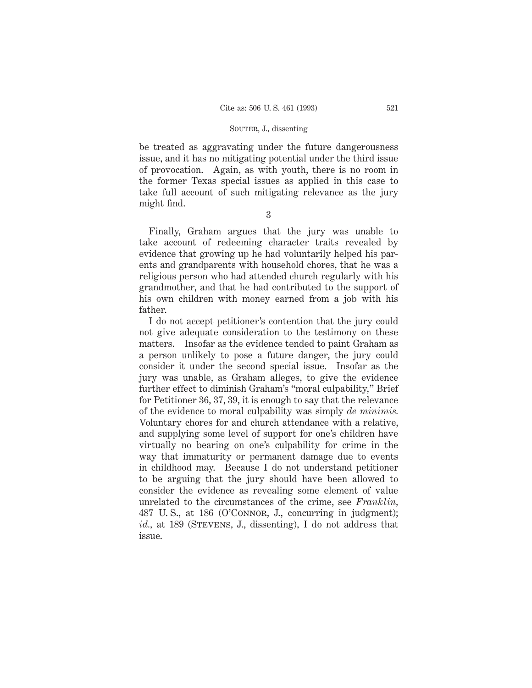be treated as aggravating under the future dangerousness issue, and it has no mitigating potential under the third issue of provocation. Again, as with youth, there is no room in the former Texas special issues as applied in this case to take full account of such mitigating relevance as the jury might find.

3

Finally, Graham argues that the jury was unable to take account of redeeming character traits revealed by evidence that growing up he had voluntarily helped his parents and grandparents with household chores, that he was a religious person who had attended church regularly with his grandmother, and that he had contributed to the support of his own children with money earned from a job with his father.

I do not accept petitioner's contention that the jury could not give adequate consideration to the testimony on these matters. Insofar as the evidence tended to paint Graham as a person unlikely to pose a future danger, the jury could consider it under the second special issue. Insofar as the jury was unable, as Graham alleges, to give the evidence further effect to diminish Graham's "moral culpability," Brief for Petitioner 36, 37, 39, it is enough to say that the relevance of the evidence to moral culpability was simply *de minimis.* Voluntary chores for and church attendance with a relative, and supplying some level of support for one's children have virtually no bearing on one's culpability for crime in the way that immaturity or permanent damage due to events in childhood may. Because I do not understand petitioner to be arguing that the jury should have been allowed to consider the evidence as revealing some element of value unrelated to the circumstances of the crime, see *Franklin,* 487 U. S., at 186 (O'Connor, J., concurring in judgment); *id.*, at 189 (STEVENS, J., dissenting), I do not address that issue.